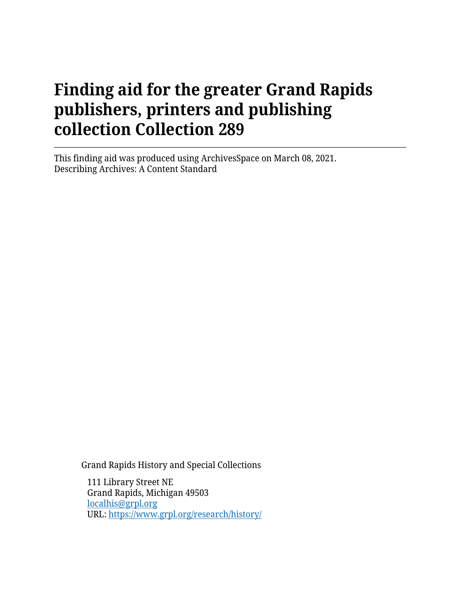This finding aid was produced using ArchivesSpace on March 08, 2021. Describing Archives: A Content Standard

Grand Rapids History and Special Collections

111 Library Street NE Grand Rapids, Michigan 49503 [localhis@grpl.org](mailto:localhis@grpl.org) URL:<https://www.grpl.org/research/history/>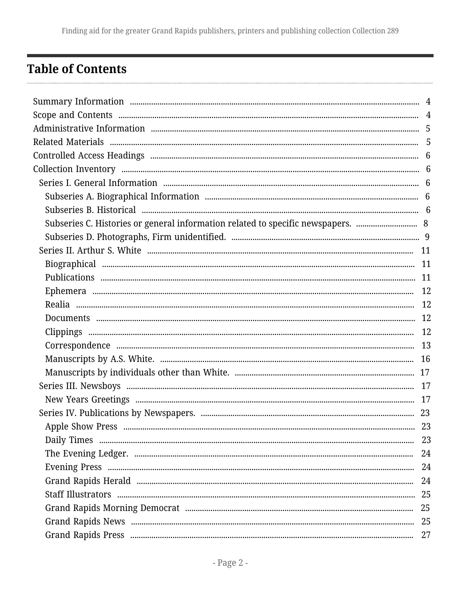## <span id="page-1-0"></span>**Table of Contents**

| Subseries C. Histories or general information related to specific newspapers.  8 |  |
|----------------------------------------------------------------------------------|--|
|                                                                                  |  |
|                                                                                  |  |
|                                                                                  |  |
|                                                                                  |  |
|                                                                                  |  |
|                                                                                  |  |
|                                                                                  |  |
|                                                                                  |  |
|                                                                                  |  |
|                                                                                  |  |
|                                                                                  |  |
|                                                                                  |  |
|                                                                                  |  |
|                                                                                  |  |
|                                                                                  |  |
|                                                                                  |  |
|                                                                                  |  |
|                                                                                  |  |
|                                                                                  |  |
|                                                                                  |  |
|                                                                                  |  |
|                                                                                  |  |
|                                                                                  |  |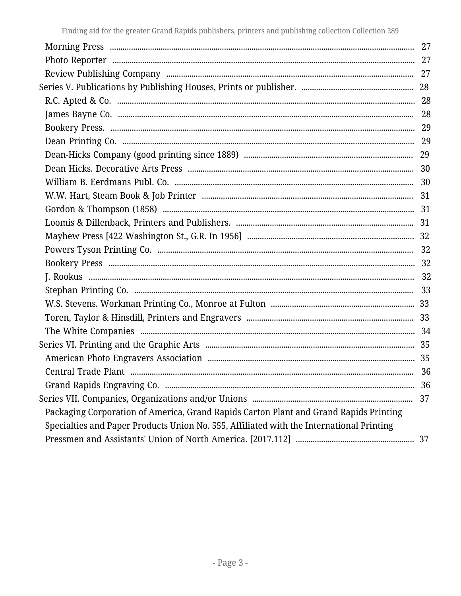|                                                                                          | 28 |
|------------------------------------------------------------------------------------------|----|
|                                                                                          |    |
|                                                                                          |    |
|                                                                                          |    |
|                                                                                          |    |
|                                                                                          |    |
|                                                                                          |    |
|                                                                                          |    |
|                                                                                          |    |
|                                                                                          |    |
|                                                                                          |    |
|                                                                                          |    |
|                                                                                          |    |
|                                                                                          |    |
|                                                                                          |    |
|                                                                                          |    |
|                                                                                          |    |
|                                                                                          |    |
|                                                                                          |    |
|                                                                                          |    |
|                                                                                          |    |
|                                                                                          |    |
|                                                                                          | 36 |
|                                                                                          | 37 |
| Packaging Corporation of America, Grand Rapids Carton Plant and Grand Rapids Printing    |    |
| Specialties and Paper Products Union No. 555, Affiliated with the International Printing |    |
|                                                                                          |    |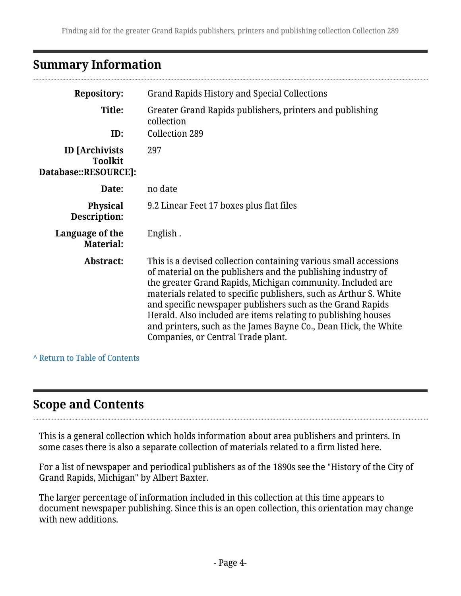## <span id="page-3-0"></span>**Summary Information**

| <b>Repository:</b>                                              | <b>Grand Rapids History and Special Collections</b>                                                                                                                                                                                                                                                                                                                                                                                                                                                         |  |
|-----------------------------------------------------------------|-------------------------------------------------------------------------------------------------------------------------------------------------------------------------------------------------------------------------------------------------------------------------------------------------------------------------------------------------------------------------------------------------------------------------------------------------------------------------------------------------------------|--|
| Title:<br>ID:                                                   | Greater Grand Rapids publishers, printers and publishing<br>collection<br>Collection 289                                                                                                                                                                                                                                                                                                                                                                                                                    |  |
| <b>ID</b> [Archivists<br><b>Toolkit</b><br>Database::RESOURCE]: | 297                                                                                                                                                                                                                                                                                                                                                                                                                                                                                                         |  |
| Date:                                                           | no date                                                                                                                                                                                                                                                                                                                                                                                                                                                                                                     |  |
| <b>Physical</b><br>Description:                                 | 9.2 Linear Feet 17 boxes plus flat files                                                                                                                                                                                                                                                                                                                                                                                                                                                                    |  |
| Language of the<br><b>Material:</b>                             | English.                                                                                                                                                                                                                                                                                                                                                                                                                                                                                                    |  |
| Abstract:                                                       | This is a devised collection containing various small accessions<br>of material on the publishers and the publishing industry of<br>the greater Grand Rapids, Michigan community. Included are<br>materials related to specific publishers, such as Arthur S. White<br>and specific newspaper publishers such as the Grand Rapids<br>Herald. Also included are items relating to publishing houses<br>and printers, such as the James Bayne Co., Dean Hick, the White<br>Companies, or Central Trade plant. |  |

**^** [Return to Table of Contents](#page-1-0)

## <span id="page-3-1"></span>**Scope and Contents**

This is a general collection which holds information about area publishers and printers. In some cases there is also a separate collection of materials related to a firm listed here.

For a list of newspaper and periodical publishers as of the 1890s see the "History of the City of Grand Rapids, Michigan" by Albert Baxter.

The larger percentage of information included in this collection at this time appears to document newspaper publishing. Since this is an open collection, this orientation may change with new additions.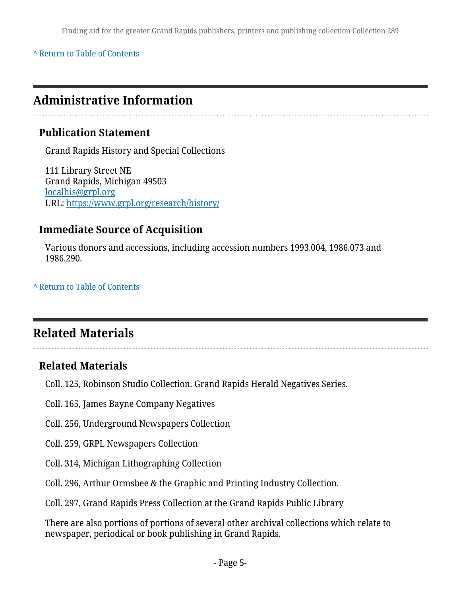#### **^** [Return to Table of Contents](#page-1-0)

## <span id="page-4-0"></span>**Administrative Information**

### **Publication Statement**

Grand Rapids History and Special Collections

111 Library Street NE Grand Rapids, Michigan 49503 [localhis@grpl.org](mailto:localhis@grpl.org) URL:<https://www.grpl.org/research/history/>

#### **Immediate Source of Acquisition**

Various donors and accessions, including accession numbers 1993.004, 1986.073 and 1986.290.

#### **^** [Return to Table of Contents](#page-1-0)

## <span id="page-4-1"></span>**Related Materials**

### **Related Materials**

Coll. 125, Robinson Studio Collection. Grand Rapids Herald Negatives Series.

Coll. 165, James Bayne Company Negatives

Coll. 256, Underground Newspapers Collection

- Coll. 259, GRPL Newspapers Collection
- Coll. 314, Michigan Lithographing Collection
- Coll. 296, Arthur Ormsbee & the Graphic and Printing Industry Collection.
- Coll. 297, Grand Rapids Press Collection at the Grand Rapids Public Library

There are also portions of portions of several other archival collections which relate to newspaper, periodical or book publishing in Grand Rapids.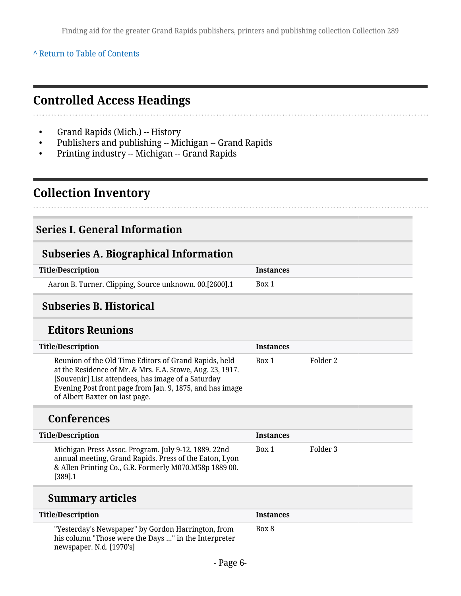#### **^** [Return to Table of Contents](#page-1-0)

## <span id="page-5-0"></span>**Controlled Access Headings**

- Grand Rapids (Mich.) -- History
- Publishers and publishing -- Michigan -- Grand Rapids
- Printing industry -- Michigan -- Grand Rapids

## <span id="page-5-1"></span>**Collection Inventory**

#### <span id="page-5-2"></span>**Series I. General Information**

#### <span id="page-5-3"></span>**Subseries A. Biographical Information**

| <b>Title/Description</b>                               | <b>Instances</b> |
|--------------------------------------------------------|------------------|
| Aaron B. Turner. Clipping, Source unknown. 00.[2600].1 | Box 1            |

### <span id="page-5-4"></span>**Subseries B. Historical**

### **Editors Reunions**

| <b>Title/Description</b>                                                                                                                                                                                                                                               | <b>Instances</b> |          |
|------------------------------------------------------------------------------------------------------------------------------------------------------------------------------------------------------------------------------------------------------------------------|------------------|----------|
| Reunion of the Old Time Editors of Grand Rapids, held<br>at the Residence of Mr. & Mrs. E.A. Stowe, Aug. 23, 1917.<br>[Souvenir] List attendees, has image of a Saturday<br>Evening Post front page from Jan. 9, 1875, and has image<br>of Albert Baxter on last page. | Box 1            | Folder 2 |
| <b>Conferences</b>                                                                                                                                                                                                                                                     |                  |          |
| <b>Title/Description</b>                                                                                                                                                                                                                                               | <b>Instances</b> |          |
| Michigan Press Assoc. Program. July 9-12, 1889. 22nd<br>annual meeting, Grand Rapids. Press of the Eaton, Lyon<br>& Allen Printing Co., G.R. Formerly M070.M58p 1889 00.<br>$[389]$ .1                                                                                 | Box 1            | Folder 3 |

## **Summary articles**

| <b>Title/Description</b>                                                                                                               | Instances |
|----------------------------------------------------------------------------------------------------------------------------------------|-----------|
| "Yesterday's Newspaper" by Gordon Harrington, from<br>his column "Those were the Days " in the Interpreter<br>newspaper. N.d. [1970's] | Box 8     |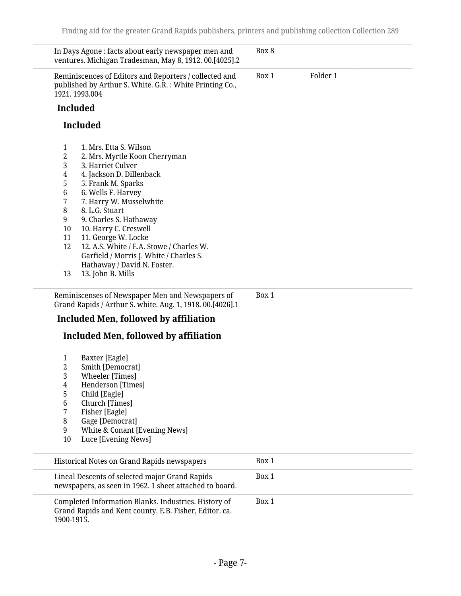| In Days Agone: facts about early newspaper men and<br>ventures. Michigan Tradesman, May 8, 1912. 00.[4025].2                                                                                                                                                                                                                                                                                                                                                     | Box 8 |          |  |
|------------------------------------------------------------------------------------------------------------------------------------------------------------------------------------------------------------------------------------------------------------------------------------------------------------------------------------------------------------------------------------------------------------------------------------------------------------------|-------|----------|--|
| Reminiscences of Editors and Reporters / collected and<br>published by Arthur S. White. G.R.: White Printing Co.,<br>1921.1993.004                                                                                                                                                                                                                                                                                                                               | Box 1 | Folder 1 |  |
| <b>Included</b>                                                                                                                                                                                                                                                                                                                                                                                                                                                  |       |          |  |
| <b>Included</b>                                                                                                                                                                                                                                                                                                                                                                                                                                                  |       |          |  |
|                                                                                                                                                                                                                                                                                                                                                                                                                                                                  |       |          |  |
| 1<br>1. Mrs. Etta S. Wilson<br>2<br>2. Mrs. Myrtle Koon Cherryman<br>3<br>3. Harriet Culver<br>4. Jackson D. Dillenback<br>4<br>5<br>5. Frank M. Sparks<br>6<br>6. Wells F. Harvey<br>7<br>7. Harry W. Musselwhite<br>8<br>8. L.G. Stuart<br>9<br>9. Charles S. Hathaway<br>10. Harry C. Creswell<br>10<br>11<br>11. George W. Locke<br>12<br>12. A.S. White / E.A. Stowe / Charles W.<br>Garfield / Morris J. White / Charles S.<br>Hathaway / David N. Foster. |       |          |  |
| 13. John B. Mills<br>13                                                                                                                                                                                                                                                                                                                                                                                                                                          |       |          |  |
| Reminiscenses of Newspaper Men and Newspapers of<br>Grand Rapids / Arthur S. white. Aug. 1, 1918. 00.[4026].1<br><b>Included Men, followed by affiliation</b><br><b>Included Men, followed by affiliation</b><br>Baxter [Eagle]<br>1<br>2<br>Smith [Democrat]<br>3<br><b>Wheeler</b> [Times]<br>Henderson [Times]<br>4<br>5<br>Child [Eagle]<br>Church [Times]<br>6<br>Fisher [Eagle]<br>7<br>8<br>Gage [Democrat]                                               | Box 1 |          |  |
| White & Conant [Evening News]<br>9                                                                                                                                                                                                                                                                                                                                                                                                                               |       |          |  |
| 10<br>Luce [Evening News]                                                                                                                                                                                                                                                                                                                                                                                                                                        |       |          |  |
| Historical Notes on Grand Rapids newspapers                                                                                                                                                                                                                                                                                                                                                                                                                      | Box 1 |          |  |
| Lineal Descents of selected major Grand Rapids<br>newspapers, as seen in 1962. 1 sheet attached to board.                                                                                                                                                                                                                                                                                                                                                        | Box 1 |          |  |
| Completed Information Blanks. Industries. History of<br>Grand Rapids and Kent county. E.B. Fisher, Editor. ca.<br>1900-1915.                                                                                                                                                                                                                                                                                                                                     | Box 1 |          |  |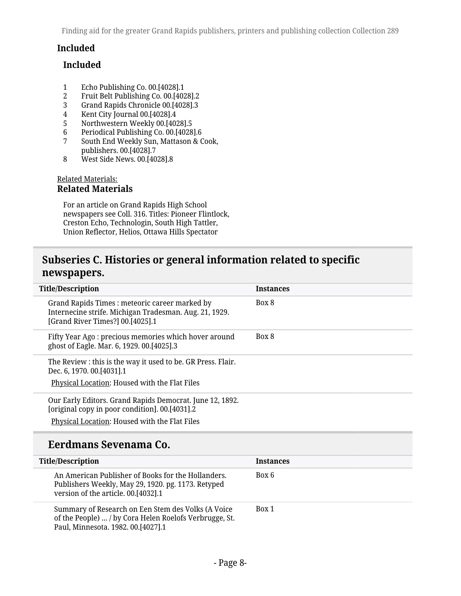#### **Included**

#### **Included**

- 1 Echo Publishing Co. 00.[4028].1<br>2 Fruit Belt Publishing Co. 00.[402
- 2 Fruit Belt Publishing Co. 00.[4028].2<br>3 Grand Rapids Chronicle 00.[4028].3
- 3 Grand Rapids Chronicle 00.[4028].3
- 4 Kent City Journal 00.[4028].4
- 5 Northwestern Weekly 00.[4028].5<br>6 Periodical Publishing Co. 00.[4028]
- 6 Periodical Publishing Co. 00.[4028].6
- 7 South End Weekly Sun, Mattason & Cook, publishers. 00.[4028].7
- 8 West Side News. 00.[4028].8

#### Related Materials: **Related Materials**

For an article on Grand Rapids High School newspapers see Coll. 316. Titles: Pioneer Flintlock, Creston Echo, Technologin, South High Tattler, Union Reflector, Helios, Ottawa Hills Spectator

### <span id="page-7-0"></span>**Subseries C. Histories or general information related to specific newspapers.**

| <b>Title/Description</b>                                                                                                                    | <b>Instances</b> |
|---------------------------------------------------------------------------------------------------------------------------------------------|------------------|
| Grand Rapids Times: meteoric career marked by<br>Internecine strife. Michigan Tradesman. Aug. 21, 1929.<br>[Grand River Times?] 00.[4025].1 | Box 8            |
| Fifty Year Ago: precious memories which hover around<br>ghost of Eagle. Mar. 6, 1929. 00.[4025].3                                           | Box 8            |
| The Review : this is the way it used to be. GR Press. Flair.<br>Dec. 6, 1970. 00.[4031].1                                                   |                  |
| Physical Location: Housed with the Flat Files                                                                                               |                  |
| Our Early Editors. Grand Rapids Democrat. June 12, 1892.<br>[original copy in poor condition]. 00.[4031].2                                  |                  |
| Physical Location: Housed with the Flat Files                                                                                               |                  |
| Eerdmans Sevenama Co.                                                                                                                       |                  |

| <b>Title/Description</b>                                                                                                                           | <b>Instances</b> |
|----------------------------------------------------------------------------------------------------------------------------------------------------|------------------|
| An American Publisher of Books for the Hollanders.<br>Publishers Weekly, May 29, 1920. pg. 1173. Retyped<br>version of the article. 00.[4032].1    | Box 6            |
| Summary of Research on Een Stem des Volks (A Voice<br>of the People)  / by Cora Helen Roelofs Verbrugge, St.<br>Paul, Minnesota. 1982. 00.[4027].1 | Box 1            |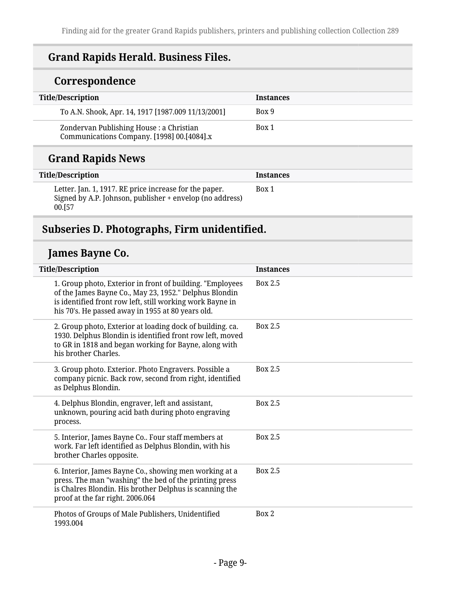## **Grand Rapids Herald. Business Files.**

## **Correspondence**

| <b>Title/Description</b>                                                               | <b>Instances</b> |
|----------------------------------------------------------------------------------------|------------------|
| To A.N. Shook, Apr. 14, 1917 [1987.009 11/13/2001]                                     | Box 9            |
| Zondervan Publishing House : a Christian<br>Communications Company. [1998] 00.[4084].x | Box 1            |

## **Grand Rapids News**

| <b>Title/Description</b>                                                                                                     | <b>Instances</b> |
|------------------------------------------------------------------------------------------------------------------------------|------------------|
| Letter. Jan. 1, 1917. RE price increase for the paper.<br>Signed by A.P. Johnson, publisher + envelop (no address)<br>00.[57 | Box 1            |

## <span id="page-8-0"></span>**Subseries D. Photographs, Firm unidentified.**

## **James Bayne Co.**

| <b>Title/Description</b>                                                                                                                                                                                                              | <b>Instances</b> |
|---------------------------------------------------------------------------------------------------------------------------------------------------------------------------------------------------------------------------------------|------------------|
| 1. Group photo, Exterior in front of building. "Employees<br>of the James Bayne Co., May 23, 1952." Delphus Blondin<br>is identified front row left, still working work Bayne in<br>his 70's. He passed away in 1955 at 80 years old. | Box 2.5          |
| 2. Group photo, Exterior at loading dock of building. ca.<br>1930. Delphus Blondin is identified front row left, moved<br>to GR in 1818 and began working for Bayne, along with<br>his brother Charles.                               | Box 2.5          |
| 3. Group photo. Exterior. Photo Engravers. Possible a<br>company picnic. Back row, second from right, identified<br>as Delphus Blondin.                                                                                               | Box 2.5          |
| 4. Delphus Blondin, engraver, left and assistant,<br>unknown, pouring acid bath during photo engraving<br>process.                                                                                                                    | Box 2.5          |
| 5. Interior, James Bayne Co Four staff members at<br>work. Far left identified as Delphus Blondin, with his<br>brother Charles opposite.                                                                                              | Box 2.5          |
| 6. Interior, James Bayne Co., showing men working at a<br>press. The man "washing" the bed of the printing press<br>is Chalres Blondin. His brother Delphus is scanning the<br>proof at the far right. 2006.064                       | <b>Box 2.5</b>   |
| Photos of Groups of Male Publishers, Unidentified<br>1993.004                                                                                                                                                                         | Box 2            |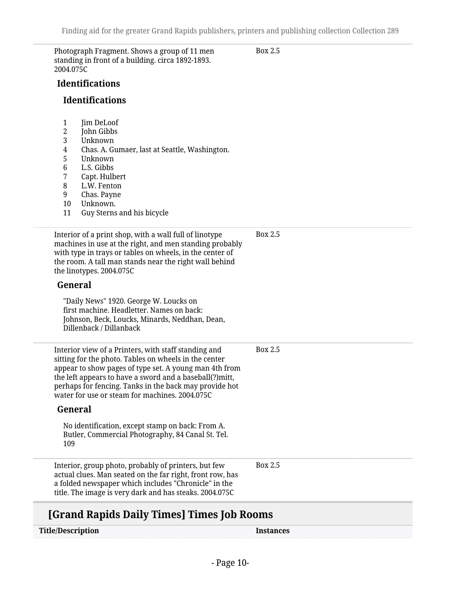Box 2.5

Photograph Fragment. Shows a group of 11 men standing in front of a building. circa 1892-1893. 2004.075C

**Identifications**

#### **Identifications**

- 1 **Iim DeLoof**
- 2 John Gibbs
- 3 Unknown
- 4 Chas. A. Gumaer, last at Seattle, Washington.
- 5 Unknown
- 6 L.S. Gibbs
- 7 Capt. Hulbert
- L.W. Fenton
- 9 Chas. Payne
- 10 Unknown.
- 11 Guy Sterns and his bicycle

Interior of a print shop, with a wall full of linotype machines in use at the right, and men standing probably with type in trays or tables on wheels, in the center of the room. A tall man stands near the right wall behind the linotypes. 2004.075C **General** "Daily News" 1920. George W. Loucks on first machine. Headletter. Names on back: Johnson, Beck, Loucks, Minards, Neddhan, Dean, Dillenback / Dillanback Box 2.5 Interior view of a Printers, with staff standing and sitting for the photo. Tables on wheels in the center appear to show pages of type set. A young man 4th from the left appears to have a sword and a baseball(?)mitt, perhaps for fencing. Tanks in the back may provide hot water for use or steam for machines. 2004.075C **General** No identification, except stamp on back: From A. Butler, Commercial Photography, 84 Canal St. Tel. 109 Box 2.5 Interior, group photo, probably of printers, but few actual clues. Man seated on the far right, front row, has a folded newspaper which includes "Chronicle" in the title. The image is very dark and has steaks. 2004.075C Box 2.5

### **[Grand Rapids Daily Times] Times Job Rooms**

| <b>Title/Description</b> | Instances |
|--------------------------|-----------|
|--------------------------|-----------|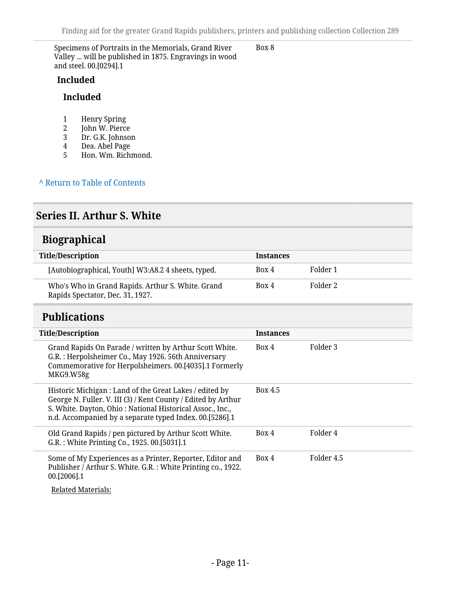Specimens of Portraits in the Memorials, Grand River Valley ... will be published in 1875. Engravings in wood and steel. 00.[0294].1

#### Box 8

#### **Included**

#### **Included**

- 1 Henry Spring<br>2 John W. Pierce
- 2 John W. Pierce<br>3 Dr. G.K. Johnsol
- 3 Dr. G.K. Johnson<br>4 Dea. Abel Page
- 4 Dea. Abel Page<br>5 Hon. Wm. Richi
- 5 Hon. Wm. Richmond.

**^** [Return to Table of Contents](#page-1-0)

### <span id="page-10-0"></span>**Series II. Arthur S. White**

### <span id="page-10-1"></span>**Biographical**

| Title/Description                                                                     | <b>Instances</b> |          |
|---------------------------------------------------------------------------------------|------------------|----------|
| [Autobiographical, Youth] W3:A8.2 4 sheets, typed.                                    | Box 4            | Folder 1 |
| Who's Who in Grand Rapids. Arthur S. White. Grand<br>Rapids Spectator, Dec. 31, 1927. | Box 4            | Folder 2 |

### <span id="page-10-2"></span>**Publications**

| <b>Title/Description</b>                                                                                                                                                                                                                         | <b>Instances</b> |            |
|--------------------------------------------------------------------------------------------------------------------------------------------------------------------------------------------------------------------------------------------------|------------------|------------|
| Grand Rapids On Parade / written by Arthur Scott White.<br>G.R.: Herpolsheimer Co., May 1926. 56th Anniversary<br>Commemorative for Herpolsheimers. 00.[4035].1 Formerly<br>MKG9.W58g                                                            | Box 4            | Folder 3   |
| Historic Michigan : Land of the Great Lakes / edited by<br>George N. Fuller. V. III (3) / Kent County / Edited by Arthur<br>S. White. Dayton, Ohio: National Historical Assoc., Inc.,<br>n.d. Accompanied by a separate typed Index. 00.[5286].1 | Box 4.5          |            |
| Old Grand Rapids / pen pictured by Arthur Scott White.<br>G.R.: White Printing Co., 1925. 00.[5031].1                                                                                                                                            | Box 4            | Folder 4   |
| Some of My Experiences as a Printer, Reporter, Editor and<br>Publisher / Arthur S. White. G.R.: White Printing co., 1922.<br>00.[2006].1                                                                                                         | Box 4            | Folder 4.5 |

Related Materials: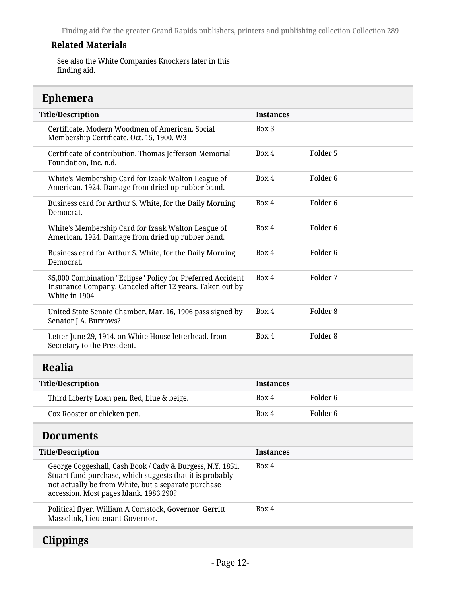#### **Related Materials**

See also the White Companies Knockers later in this finding aid.

## <span id="page-11-0"></span>**Ephemera**

| <b>Title/Description</b>                                                                                                                                                                                               | <b>Instances</b> |                     |
|------------------------------------------------------------------------------------------------------------------------------------------------------------------------------------------------------------------------|------------------|---------------------|
| Certificate. Modern Woodmen of American. Social<br>Membership Certificate. Oct. 15, 1900. W3                                                                                                                           | Box 3            |                     |
| Certificate of contribution. Thomas Jefferson Memorial<br>Foundation, Inc. n.d.                                                                                                                                        | Box 4            | Folder 5            |
| White's Membership Card for Izaak Walton League of<br>American. 1924. Damage from dried up rubber band.                                                                                                                | Box 4            | Folder <sub>6</sub> |
| Business card for Arthur S. White, for the Daily Morning<br>Democrat.                                                                                                                                                  | Box 4            | Folder <sub>6</sub> |
| White's Membership Card for Izaak Walton League of<br>American. 1924. Damage from dried up rubber band.                                                                                                                | Box 4            | Folder <sub>6</sub> |
| Business card for Arthur S. White, for the Daily Morning<br>Democrat.                                                                                                                                                  | Box 4            | Folder <sub>6</sub> |
| \$5,000 Combination "Eclipse" Policy for Preferred Accident<br>Insurance Company. Canceled after 12 years. Taken out by<br>White in 1904.                                                                              | Box 4            | Folder 7            |
| United State Senate Chamber, Mar. 16, 1906 pass signed by<br>Senator J.A. Burrows?                                                                                                                                     | Box 4            | Folder <sub>8</sub> |
| Letter June 29, 1914. on White House letterhead. from<br>Secretary to the President.                                                                                                                                   | Box 4            | Folder <sub>8</sub> |
| <b>Realia</b>                                                                                                                                                                                                          |                  |                     |
| <b>Title/Description</b>                                                                                                                                                                                               | <b>Instances</b> |                     |
| Third Liberty Loan pen. Red, blue & beige.                                                                                                                                                                             | Box 4            | Folder <sub>6</sub> |
| Cox Rooster or chicken pen.                                                                                                                                                                                            | Box 4            | Folder <sub>6</sub> |
| <b>Documents</b>                                                                                                                                                                                                       |                  |                     |
| <b>Title/Description</b>                                                                                                                                                                                               | <b>Instances</b> |                     |
| George Coggeshall, Cash Book / Cady & Burgess, N.Y. 1851.<br>Stuart fund purchase, which suggests that it is probably<br>not actually be from White, but a separate purchase<br>accession. Most pages blank. 1986.290? | Box 4            |                     |
| Political flyer. William A Comstock, Governor. Gerritt<br>Masselink, Lieutenant Governor.                                                                                                                              | Box 4            |                     |

## <span id="page-11-3"></span><span id="page-11-2"></span><span id="page-11-1"></span>**Clippings**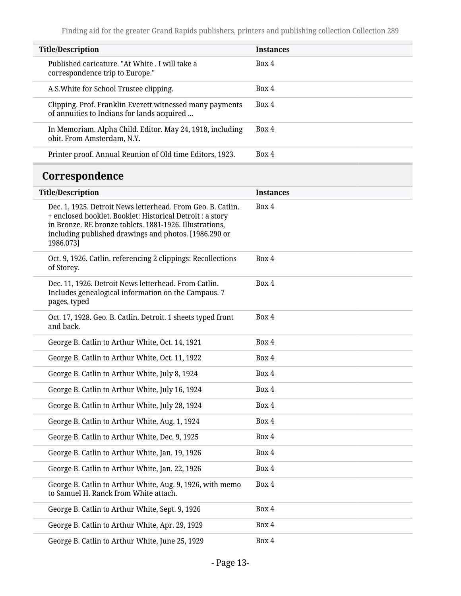<span id="page-12-0"></span>

| <b>Title/Description</b>                                                                                                                                                                                                                                  | <b>Instances</b> |
|-----------------------------------------------------------------------------------------------------------------------------------------------------------------------------------------------------------------------------------------------------------|------------------|
| Published caricature. "At White . I will take a<br>correspondence trip to Europe."                                                                                                                                                                        | Box 4            |
| A.S. White for School Trustee clipping.                                                                                                                                                                                                                   | Box 4            |
| Clipping. Prof. Franklin Everett witnessed many payments<br>of annuities to Indians for lands acquired                                                                                                                                                    | Box 4            |
| In Memoriam. Alpha Child. Editor. May 24, 1918, including<br>obit. From Amsterdam, N.Y.                                                                                                                                                                   | Box 4            |
| Printer proof. Annual Reunion of Old time Editors, 1923.                                                                                                                                                                                                  | Box 4            |
| Correspondence                                                                                                                                                                                                                                            |                  |
| <b>Title/Description</b>                                                                                                                                                                                                                                  | <b>Instances</b> |
| Dec. 1, 1925. Detroit News letterhead. From Geo. B. Catlin.<br>+ enclosed booklet. Booklet: Historical Detroit : a story<br>in Bronze. RE bronze tablets. 1881-1926. Illustrations,<br>including published drawings and photos. [1986.290 or<br>1986.073] | Box 4            |
| Oct. 9, 1926. Catlin. referencing 2 clippings: Recollections<br>of Storey.                                                                                                                                                                                | Box 4            |
| Dec. 11, 1926. Detroit News letterhead. From Catlin.<br>Includes genealogical information on the Campaus. 7<br>pages, typed                                                                                                                               | Box 4            |
| Oct. 17, 1928. Geo. B. Catlin. Detroit. 1 sheets typed front<br>and back.                                                                                                                                                                                 | Box 4            |
| George B. Catlin to Arthur White, Oct. 14, 1921                                                                                                                                                                                                           | Box 4            |
| George B. Catlin to Arthur White, Oct. 11, 1922                                                                                                                                                                                                           | Box 4            |
| George B. Catlin to Arthur White, July 8, 1924                                                                                                                                                                                                            | Box 4            |
| George B. Catlin to Arthur White, July 16, 1924                                                                                                                                                                                                           | Box 4            |
| George B. Catlin to Arthur White, July 28, 1924                                                                                                                                                                                                           | Box 4            |
| George B. Catlin to Arthur White, Aug. 1, 1924                                                                                                                                                                                                            | Box 4            |
| George B. Catlin to Arthur White, Dec. 9, 1925                                                                                                                                                                                                            | Box 4            |
| George B. Catlin to Arthur White, Jan. 19, 1926                                                                                                                                                                                                           | Box 4            |
| George B. Catlin to Arthur White, Jan. 22, 1926                                                                                                                                                                                                           | Box 4            |
| George B. Catlin to Arthur White, Aug. 9, 1926, with memo<br>to Samuel H. Ranck from White attach.                                                                                                                                                        | Box 4            |
| George B. Catlin to Arthur White, Sept. 9, 1926                                                                                                                                                                                                           | Box 4            |
| George B. Catlin to Arthur White, Apr. 29, 1929                                                                                                                                                                                                           | Box 4            |
| George B. Catlin to Arthur White, June 25, 1929                                                                                                                                                                                                           | Box 4            |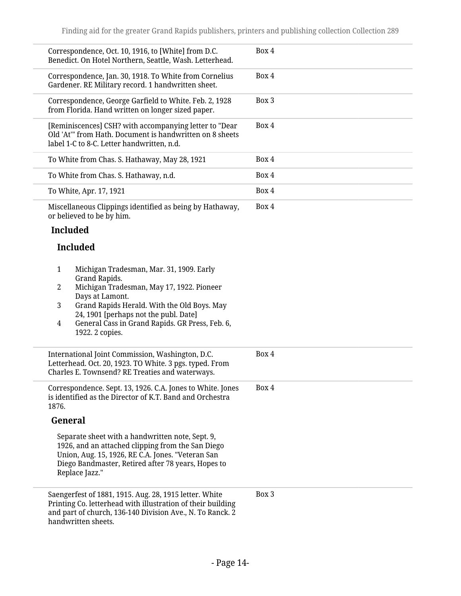| Correspondence, Oct. 10, 1916, to [White] from D.C.<br>Benedict. On Hotel Northern, Seattle, Wash. Letterhead.                                                                                                                                                                                                                                   | Box 4 |
|--------------------------------------------------------------------------------------------------------------------------------------------------------------------------------------------------------------------------------------------------------------------------------------------------------------------------------------------------|-------|
| Correspondence, Jan. 30, 1918. To White from Cornelius<br>Gardener. RE Military record. 1 handwritten sheet.                                                                                                                                                                                                                                     | Box 4 |
| Correspondence, George Garfield to White. Feb. 2, 1928<br>from Florida. Hand written on longer sized paper.                                                                                                                                                                                                                                      | Box 3 |
| [Reminiscences] CSH? with accompanying letter to "Dear<br>Old 'At'" from Hath. Document is handwritten on 8 sheets<br>label 1-C to 8-C. Letter handwritten, n.d.                                                                                                                                                                                 | Box 4 |
| To White from Chas. S. Hathaway, May 28, 1921                                                                                                                                                                                                                                                                                                    | Box 4 |
| To White from Chas. S. Hathaway, n.d.                                                                                                                                                                                                                                                                                                            | Box 4 |
| To White, Apr. 17, 1921                                                                                                                                                                                                                                                                                                                          | Box 4 |
| Miscellaneous Clippings identified as being by Hathaway,<br>or believed to be by him.                                                                                                                                                                                                                                                            | Box 4 |
| <b>Included</b>                                                                                                                                                                                                                                                                                                                                  |       |
| <b>Included</b>                                                                                                                                                                                                                                                                                                                                  |       |
| Michigan Tradesman, Mar. 31, 1909. Early<br>$\mathbf{1}$<br>Grand Rapids.<br>Michigan Tradesman, May 17, 1922. Pioneer<br>$\overline{2}$<br>Days at Lamont.<br>Grand Rapids Herald. With the Old Boys. May<br>3<br>24, 1901 [perhaps not the publ. Date]<br>General Cass in Grand Rapids. GR Press, Feb. 6,<br>$\overline{4}$<br>1922. 2 copies. |       |
| International Joint Commission, Washington, D.C.<br>Letterhead. Oct. 20, 1923. TO White. 3 pgs. typed. From<br>Charles E. Townsend? RE Treaties and waterways.                                                                                                                                                                                   | Box 4 |
| Correspondence. Sept. 13, 1926. C.A. Jones to White. Jones<br>is identified as the Director of K.T. Band and Orchestra<br>1876.                                                                                                                                                                                                                  | Box 4 |
| General                                                                                                                                                                                                                                                                                                                                          |       |
| Separate sheet with a handwritten note, Sept. 9,<br>1926, and an attached clipping from the San Diego<br>Union, Aug. 15, 1926, RE C.A. Jones. "Veteran San<br>Diego Bandmaster, Retired after 78 years, Hopes to<br>Replace Jazz."                                                                                                               |       |
| Saengerfest of 1881, 1915. Aug. 28, 1915 letter. White<br>Printing Co. letterhead with illustration of their building<br>and part of church, 136-140 Division Ave., N. To Ranck. 2<br>handwritten sheets.                                                                                                                                        | Box 3 |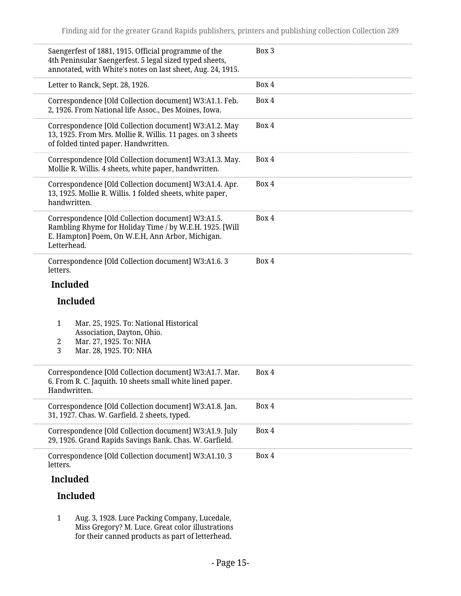| Saengerfest of 1881, 1915. Official programme of the<br>4th Peninsular Saengerfest. 5 legal sized typed sheets,<br>annotated, with White's notes on last sheet, Aug. 24, 1915.  | Box 3 |
|---------------------------------------------------------------------------------------------------------------------------------------------------------------------------------|-------|
| Letter to Ranck, Sept. 28, 1926.                                                                                                                                                | Box 4 |
| Correspondence [Old Collection document] W3:A1.1. Feb.<br>2, 1926. From National life Assoc., Des Moines, Iowa.                                                                 | Box 4 |
| Correspondence [Old Collection document] W3:A1.2. May<br>13, 1925. From Mrs. Mollie R. Willis. 11 pages. on 3 sheets<br>of folded tinted paper. Handwritten.                    | Box 4 |
| Correspondence [Old Collection document] W3:A1.3. May.<br>Mollie R. Willis. 4 sheets, white paper, handwritten.                                                                 | Box 4 |
| Correspondence [Old Collection document] W3:A1.4. Apr.<br>13, 1925. Mollie R. Willis. 1 folded sheets, white paper,<br>handwritten.                                             | Box 4 |
| Correspondence [Old Collection document] W3:A1.5.<br>Rambling Rhyme for Holiday Time / by W.E.H. 1925. [Will<br>E. Hampton] Poem, On W.E.H, Ann Arbor, Michigan.<br>Letterhead. | Box 4 |
| Correspondence [Old Collection document] W3:A1.6.3<br>letters.                                                                                                                  | Box 4 |
| <b>Included</b>                                                                                                                                                                 |       |
| <b>Included</b>                                                                                                                                                                 |       |
| Mar. 25, 1925. To: National Historical<br>$\mathbf{1}$<br>Association, Dayton, Ohio.<br>Mar. 27, 1925. To: NHA<br>2<br>3<br>Mar. 28, 1925. TO: NHA                              |       |
| Correspondence [Old Collection document] W3:A1.7. Mar.<br>6. From R. C. Jaquith. 10 sheets small white lined paper.<br>Handwritten.                                             | Box 4 |
| Correspondence [Old Collection document] W3:A1.8. Jan.<br>31, 1927. Chas. W. Garfield. 2 sheets, typed.                                                                         | Box 4 |
| Correspondence [Old Collection document] W3:A1.9. July<br>29, 1926. Grand Rapids Savings Bank. Chas. W. Garfield.                                                               | Box 4 |
| Correspondence [Old Collection document] W3:A1.10.3<br>letters.                                                                                                                 | Box 4 |
| <b>Included</b>                                                                                                                                                                 |       |
| <b>Included</b>                                                                                                                                                                 |       |

1 Aug. 3, 1928. Luce Packing Company, Lucedale, Miss Gregory? M. Luce. Great color illustrations for their canned products as part of letterhead.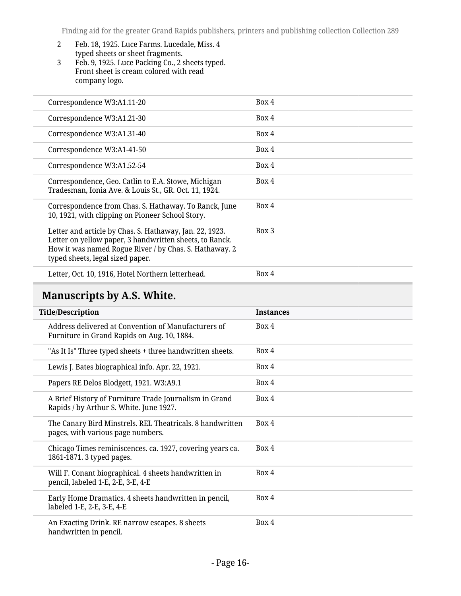- 2 Feb. 18, 1925. Luce Farms. Lucedale, Miss. 4 typed sheets or sheet fragments.
- 3 Feb. 9, 1925. Luce Packing Co., 2 sheets typed. Front sheet is cream colored with read company logo.

| Correspondence W3:A1.11-20                                                                                                                                                                                       | Box 4 |
|------------------------------------------------------------------------------------------------------------------------------------------------------------------------------------------------------------------|-------|
| Correspondence W3:A1.21-30                                                                                                                                                                                       | Box 4 |
| Correspondence W3:A1.31-40                                                                                                                                                                                       | Box 4 |
| Correspondence W3:A1-41-50                                                                                                                                                                                       | Box 4 |
| Correspondence W3:A1.52-54                                                                                                                                                                                       | Box 4 |
| Correspondence, Geo. Catlin to E.A. Stowe, Michigan<br>Tradesman, Ionia Ave. & Louis St., GR. Oct. 11, 1924.                                                                                                     | Box 4 |
| Correspondence from Chas. S. Hathaway. To Ranck, June<br>10, 1921, with clipping on Pioneer School Story.                                                                                                        | Box 4 |
| Letter and article by Chas. S. Hathaway, Jan. 22, 1923.<br>Letter on yellow paper, 3 handwritten sheets, to Ranck.<br>How it was named Rogue River / by Chas. S. Hathaway. 2<br>typed sheets, legal sized paper. | Box 3 |
| Letter, Oct. 10, 1916, Hotel Northern letterhead.                                                                                                                                                                | Box 4 |

## <span id="page-15-0"></span>**Manuscripts by A.S. White.**

| <b>Title/Description</b>                                                                           | <b>Instances</b> |
|----------------------------------------------------------------------------------------------------|------------------|
| Address delivered at Convention of Manufacturers of<br>Furniture in Grand Rapids on Aug. 10, 1884. | Box 4            |
| "As It Is" Three typed sheets + three handwritten sheets.                                          | Box 4            |
| Lewis J. Bates biographical info. Apr. 22, 1921.                                                   | Box 4            |
| Papers RE Delos Blodgett, 1921. W3:A9.1                                                            | Box 4            |
| A Brief History of Furniture Trade Journalism in Grand<br>Rapids / by Arthur S. White. June 1927.  | Box 4            |
| The Canary Bird Minstrels. REL Theatricals. 8 handwritten<br>pages, with various page numbers.     | Box 4            |
| Chicago Times reminiscences. ca. 1927, covering years ca.<br>1861-1871. 3 typed pages.             | Box 4            |
| Will F. Conant biographical. 4 sheets handwritten in<br>pencil, labeled 1-E, 2-E, 3-E, 4-E         | Box 4            |
| Early Home Dramatics. 4 sheets handwritten in pencil,<br>labeled 1-E, 2-E, 3-E, 4-E                | Box 4            |
| An Exacting Drink. RE narrow escapes. 8 sheets<br>handwritten in pencil.                           | Box 4            |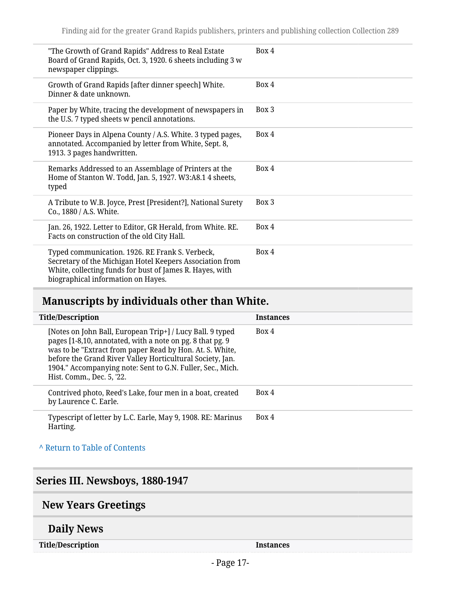| "The Growth of Grand Rapids" Address to Real Estate<br>Board of Grand Rapids, Oct. 3, 1920. 6 sheets including 3 w<br>newspaper clippings.                                                                    | Box 4 |
|---------------------------------------------------------------------------------------------------------------------------------------------------------------------------------------------------------------|-------|
| Growth of Grand Rapids [after dinner speech] White.<br>Dinner & date unknown.                                                                                                                                 | Box 4 |
| Paper by White, tracing the development of newspapers in<br>the U.S. 7 typed sheets w pencil annotations.                                                                                                     | Box 3 |
| Pioneer Days in Alpena County / A.S. White. 3 typed pages,<br>annotated. Accompanied by letter from White, Sept. 8,<br>1913. 3 pages handwritten.                                                             | Box 4 |
| Remarks Addressed to an Assemblage of Printers at the<br>Home of Stanton W. Todd, Jan. 5, 1927. W3:A8.1 4 sheets,<br>typed                                                                                    | Box 4 |
| A Tribute to W.B. Joyce, Prest [President?], National Surety<br>Co., 1880 / A.S. White.                                                                                                                       | Box 3 |
| Jan. 26, 1922. Letter to Editor, GR Herald, from White. RE.<br>Facts on construction of the old City Hall.                                                                                                    | Box 4 |
| Typed communication. 1926. RE Frank S. Verbeck,<br>Secretary of the Michigan Hotel Keepers Association from<br>White, collecting funds for bust of James R. Hayes, with<br>biographical information on Hayes. | Box 4 |

## <span id="page-16-0"></span>**Manuscripts by individuals other than White.**

| <b>Title/Description</b>                                                                                                                                                                                                                                                                                                                   | <b>Instances</b> |
|--------------------------------------------------------------------------------------------------------------------------------------------------------------------------------------------------------------------------------------------------------------------------------------------------------------------------------------------|------------------|
| [Notes on John Ball, European Trip+] / Lucy Ball. 9 typed<br>pages [1-8,10, annotated, with a note on pg. 8 that pg. 9<br>was to be "Extract from paper Read by Hon. At. S. White,<br>before the Grand River Valley Horticultural Society, Jan.<br>1904." Accompanying note: Sent to G.N. Fuller, Sec., Mich.<br>Hist. Comm., Dec. 5, '22. | Box 4            |
| Contrived photo, Reed's Lake, four men in a boat, created<br>by Laurence C. Earle.                                                                                                                                                                                                                                                         | Box 4            |
| Typescript of letter by L.C. Earle, May 9, 1908. RE: Marinus<br>Harting.                                                                                                                                                                                                                                                                   | Box 4            |

#### **^** [Return to Table of Contents](#page-1-0)

## <span id="page-16-1"></span>**Series III. Newsboys, 1880-1947**

## <span id="page-16-2"></span>**New Years Greetings**

### **Daily News**

**Title/Description Instances**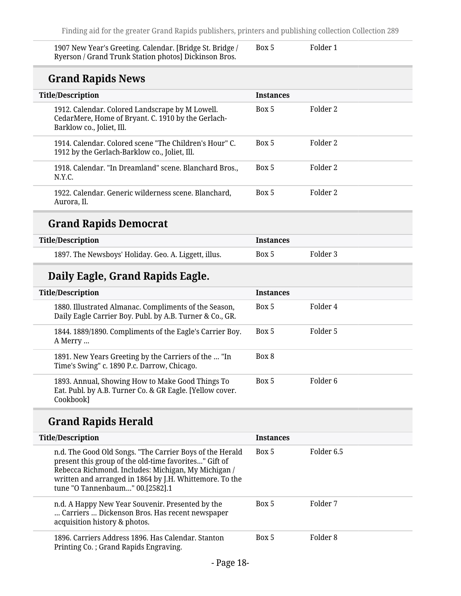Folder 1

| 1907 New Year's Greeting. Calendar. [Bridge St. Bridge / | Box 5 |
|----------------------------------------------------------|-------|
| Ryerson / Grand Trunk Station photos] Dickinson Bros.    |       |

## **Grand Rapids News**

| <b>STATIO RAPROTICING</b>                                                                                                          |                  |          |
|------------------------------------------------------------------------------------------------------------------------------------|------------------|----------|
| <b>Title/Description</b>                                                                                                           | <b>Instances</b> |          |
| 1912. Calendar. Colored Landscrape by M Lowell.<br>CedarMere, Home of Bryant. C. 1910 by the Gerlach-<br>Barklow co., Joliet, Ill. | Box 5            | Folder 2 |
| 1914. Calendar, Colored scene "The Children's Hour" C.<br>1912 by the Gerlach-Barklow co., Joliet, Ill.                            | Box 5            | Folder 2 |
| 1918. Calendar. "In Dreamland" scene. Blanchard Bros.,<br>N.Y.C.                                                                   | Box 5            | Folder 2 |
| 1922. Calendar. Generic wilderness scene. Blanchard,<br>Aurora, Il.                                                                | Box 5            | Folder 2 |

## **Grand Rapids Democrat**

| <b>Title/Description</b>                             | <b>Instances</b> |          |
|------------------------------------------------------|------------------|----------|
| 1897. The Newsboys' Holiday. Geo. A. Liggett, illus. | Box 5            | Folder 3 |

## **Daily Eagle, Grand Rapids Eagle.**

| <b>Title/Description</b> |                                                                                                                           | <b>Instances</b> |          |
|--------------------------|---------------------------------------------------------------------------------------------------------------------------|------------------|----------|
|                          | 1880. Illustrated Almanac. Compliments of the Season,<br>Daily Eagle Carrier Boy. Publ. by A.B. Turner & Co., GR.         | Box 5            | Folder 4 |
|                          | 1844. 1889/1890. Compliments of the Eagle's Carrier Boy.<br>A Merry                                                       | Box 5            | Folder 5 |
|                          | 1891. New Years Greeting by the Carriers of the  "In<br>Time's Swing" c. 1890 P.c. Darrow, Chicago.                       | Box 8            |          |
|                          | 1893. Annual, Showing How to Make Good Things To<br>Eat. Publ. by A.B. Turner Co. & GR Eagle. [Yellow cover.<br>Cookbook] | Box 5            | Folder 6 |

## **Grand Rapids Herald**

| <b>Title/Description</b>                                                                                                                                                                                                                                               | <b>Instances</b> |            |
|------------------------------------------------------------------------------------------------------------------------------------------------------------------------------------------------------------------------------------------------------------------------|------------------|------------|
| n.d. The Good Old Songs. "The Carrier Boys of the Herald<br>present this group of the old-time favorites" Gift of<br>Rebecca Richmond. Includes: Michigan, My Michigan /<br>written and arranged in 1864 by J.H. Whittemore. To the<br>tune "O Tannenbaum" 00.[2582].1 | Box 5            | Folder 6.5 |
| n.d. A Happy New Year Souvenir. Presented by the<br>Carriers  Dickenson Bros. Has recent newspaper<br>acquisition history & photos.                                                                                                                                    | Box 5            | Folder 7   |
| 1896. Carriers Address 1896. Has Calendar, Stanton<br>Printing Co.; Grand Rapids Engraving.                                                                                                                                                                            | Box 5            | Folder 8   |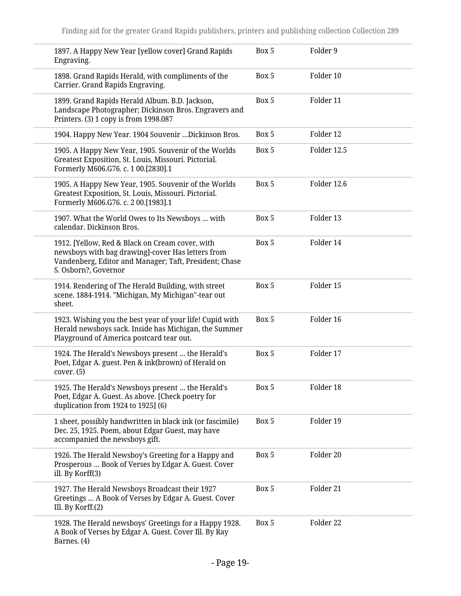| 1897. A Happy New Year [yellow cover] Grand Rapids<br>Engraving.                                                                                                                       | Box 5 | Folder 9    |
|----------------------------------------------------------------------------------------------------------------------------------------------------------------------------------------|-------|-------------|
| 1898. Grand Rapids Herald, with compliments of the<br>Carrier. Grand Rapids Engraving.                                                                                                 | Box 5 | Folder 10   |
| 1899. Grand Rapids Herald Album. B.D. Jackson,<br>Landscape Photographer; Dickinson Bros. Engravers and<br>Printers. (3) 1 copy is from 1998.087                                       | Box 5 | Folder 11   |
| 1904. Happy New Year. 1904 Souvenir  Dickinson Bros.                                                                                                                                   | Box 5 | Folder 12   |
| 1905. A Happy New Year, 1905. Souvenir of the Worlds<br>Greatest Exposition, St. Louis, Missouri. Pictorial.<br>Formerly M606.G76. c. 1 00.[2830].1                                    | Box 5 | Folder 12.5 |
| 1905. A Happy New Year, 1905. Souvenir of the Worlds<br>Greatest Exposition, St. Louis, Missouri. Pictorial.<br>Formerly M606.G76. c. 2 00.[1983].1                                    | Box 5 | Folder 12.6 |
| 1907. What the World Owes to Its Newsboys  with<br>calendar. Dickinson Bros.                                                                                                           | Box 5 | Folder 13   |
| 1912. [Yellow, Red & Black on Cream cover, with<br>newsboys with bag drawing]-cover Has letters from<br>Vandenberg, Editor and Manager; Taft, President; Chase<br>S. Osborn?, Governor | Box 5 | Folder 14   |
| 1914. Rendering of The Herald Building, with street<br>scene. 1884-1914. "Michigan, My Michigan"-tear out<br>sheet.                                                                    | Box 5 | Folder 15   |
| 1923. Wishing you the best year of your life! Cupid with<br>Herald newsboys sack. Inside has Michigan, the Summer<br>Playground of America postcard tear out.                          | Box 5 | Folder 16   |
| 1924. The Herald's Newsboys present  the Herald's<br>Poet, Edgar A. guest. Pen & ink(brown) of Herald on<br>cover. (5)                                                                 | Box 5 | Folder 17   |
| 1925. The Herald's Newsboys present  the Herald's<br>Poet, Edgar A. Guest. As above. [Check poetry for<br>duplication from 1924 to 1925] (6)                                           | Box 5 | Folder 18   |
| 1 sheet, possibly handwritten in black ink (or fascimile)<br>Dec. 25, 1925. Poem, about Edgar Guest, may have<br>accompanied the newsboys gift.                                        | Box 5 | Folder 19   |
| 1926. The Herald Newsboy's Greeting for a Happy and<br>Prosperous  Book of Verses by Edgar A. Guest. Cover<br>ill. By Korff(3)                                                         | Box 5 | Folder 20   |
| 1927. The Herald Newsboys Broadcast their 1927<br>Greetings  A Book of Verses by Edgar A. Guest. Cover<br>Ill. By Korff.(2)                                                            | Box 5 | Folder 21   |
| 1928. The Herald newsboys' Greetings for a Happy 1928.<br>A Book of Verses by Edgar A. Guest. Cover Ill. By Ray<br>Barnes. (4)                                                         | Box 5 | Folder 22   |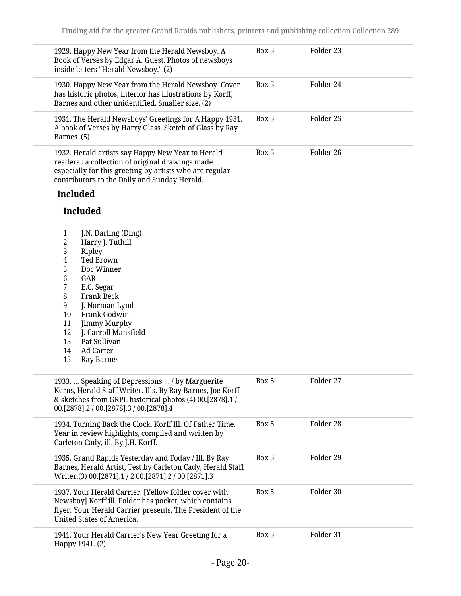| 1929. Happy New Year from the Herald Newsboy. A<br>Book of Verses by Edgar A. Guest. Photos of newsboys<br>inside letters "Herald Newsboy." (2)                                                                                                                                                                                                                                                                     | Box 5 | Folder 23 |  |
|---------------------------------------------------------------------------------------------------------------------------------------------------------------------------------------------------------------------------------------------------------------------------------------------------------------------------------------------------------------------------------------------------------------------|-------|-----------|--|
| 1930. Happy New Year from the Herald Newsboy. Cover<br>has historic photos, interior has illustrations by Korff,<br>Barnes and other unidentified. Smaller size. (2)                                                                                                                                                                                                                                                | Box 5 | Folder 24 |  |
| 1931. The Herald Newsboys' Greetings for A Happy 1931.<br>A book of Verses by Harry Glass. Sketch of Glass by Ray<br>Barnes. (5)                                                                                                                                                                                                                                                                                    | Box 5 | Folder 25 |  |
| 1932. Herald artists say Happy New Year to Herald<br>readers : a collection of original drawings made<br>especially for this greeting by artists who are regular<br>contributors to the Daily and Sunday Herald.<br><b>Included</b>                                                                                                                                                                                 | Box 5 | Folder 26 |  |
| <b>Included</b>                                                                                                                                                                                                                                                                                                                                                                                                     |       |           |  |
| J.N. Darling (Ding)<br>$\mathbf{1}$<br>2<br>Harry J. Tuthill<br>3<br>Ripley<br>Ted Brown<br>4<br>5<br>Doc Winner<br>$\,6\,$<br>GAR<br>7<br>E.C. Segar<br>$\, 8$<br><b>Frank Beck</b><br>9<br>J. Norman Lynd<br>10<br>Frank Godwin<br>11<br>Jimmy Murphy<br>J. Carroll Mansfield<br>12<br>Pat Sullivan<br>13<br><b>Ad Carter</b><br>14<br>15<br><b>Ray Barnes</b><br>1933.  Speaking of Depressions  / by Marguerite | Box 5 | Folder 27 |  |
| Kerns, Herald Staff Writer. Ills. By Ray Barnes, Joe Korff<br>& sketches from GRPL historical photos.(4) 00.[2878].1 /<br>00.[2878].2 / 00.[2878].3 / 00.[2878].4                                                                                                                                                                                                                                                   |       |           |  |
| 1934. Turning Back the Clock. Korff Ill. Of Father Time.<br>Year in review highlights, compiled and written by<br>Carleton Cady, ill. By J.H. Korff.                                                                                                                                                                                                                                                                | Box 5 | Folder 28 |  |
| 1935. Grand Rapids Yesterday and Today / Ill. By Ray<br>Barnes, Herald Artist, Test by Carleton Cady, Herald Staff<br>Writer.(3) 00.[2871].1 / 2 00.[2871].2 / 00.[2871].3                                                                                                                                                                                                                                          | Box 5 | Folder 29 |  |
| 1937. Your Herald Carrier. [Yellow folder cover with<br>Newsboy] Korff ill. Folder has pocket, which contains<br>flyer: Your Herald Carrier presents, The President of the<br>United States of America.                                                                                                                                                                                                             | Box 5 | Folder 30 |  |
| 1941. Your Herald Carrier's New Year Greeting for a<br>Happy 1941. (2)                                                                                                                                                                                                                                                                                                                                              | Box 5 | Folder 31 |  |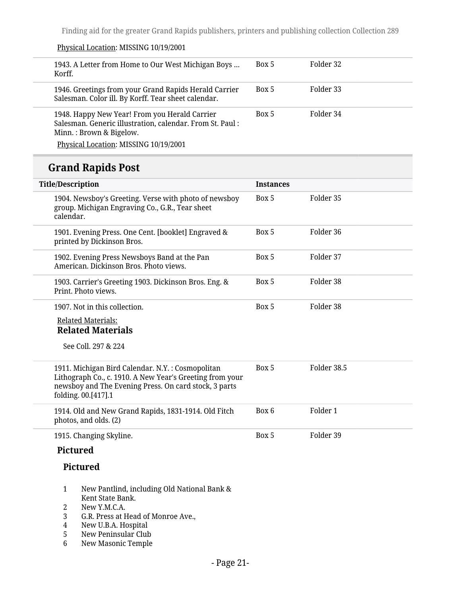| 1943. A Letter from Home to Our West Michigan Boys<br>Korff.                                                                         | Box 5 | Folder 32 |
|--------------------------------------------------------------------------------------------------------------------------------------|-------|-----------|
| 1946. Greetings from your Grand Rapids Herald Carrier<br>Salesman. Color ill. By Korff. Tear sheet calendar.                         | Box 5 | Folder 33 |
| 1948. Happy New Year! From you Herald Carrier<br>Salesman. Generic illustration, calendar. From St. Paul:<br>Minn.: Brown & Bigelow. | Box 5 | Folder 34 |
| Physical Location: MISSING 10/19/2001                                                                                                |       |           |

## **Grand Rapids Post**

Physical Location: MISSING 10/19/2001

| <b>Title/Description</b>                                                                                                                                                                     | <b>Instances</b> |             |
|----------------------------------------------------------------------------------------------------------------------------------------------------------------------------------------------|------------------|-------------|
| 1904. Newsboy's Greeting. Verse with photo of newsboy<br>group. Michigan Engraving Co., G.R., Tear sheet<br>calendar.                                                                        | Box 5            | Folder 35   |
| 1901. Evening Press. One Cent. [booklet] Engraved &<br>printed by Dickinson Bros.                                                                                                            | Box 5            | Folder 36   |
| 1902. Evening Press Newsboys Band at the Pan<br>American. Dickinson Bros. Photo views.                                                                                                       | Box 5            | Folder 37   |
| 1903. Carrier's Greeting 1903. Dickinson Bros. Eng. &<br>Print. Photo views.                                                                                                                 | Box 5            | Folder 38   |
| 1907. Not in this collection.                                                                                                                                                                | Box 5            | Folder 38   |
| <b>Related Materials:</b><br><b>Related Materials</b>                                                                                                                                        |                  |             |
| See Coll. 297 & 224                                                                                                                                                                          |                  |             |
| 1911. Michigan Bird Calendar. N.Y.: Cosmopolitan<br>Lithograph Co., c. 1910. A New Year's Greeting from your<br>newsboy and The Evening Press. On card stock, 3 parts<br>folding. 00.[417].1 | Box 5            | Folder 38.5 |
| 1914. Old and New Grand Rapids, 1831-1914. Old Fitch<br>photos, and olds. (2)                                                                                                                | Box 6            | Folder 1    |
| 1915. Changing Skyline.                                                                                                                                                                      | Box 5            | Folder 39   |
| <b>Pictured</b>                                                                                                                                                                              |                  |             |
| <b>Pictured</b>                                                                                                                                                                              |                  |             |
| 1<br>New Pantlind, including Old National Bank &<br>Kent State Bank.<br>2<br>New Y.M.C.A.                                                                                                    |                  |             |

- 3 G.R. Press at Head of Monroe Ave.,<br>4 New U.B.A. Hospital
- 4 New U.B.A. Hospital<br>5 New Peninsular Club
- 
- 5 New Peninsular Club<br>6 New Masonic Temple New Masonic Temple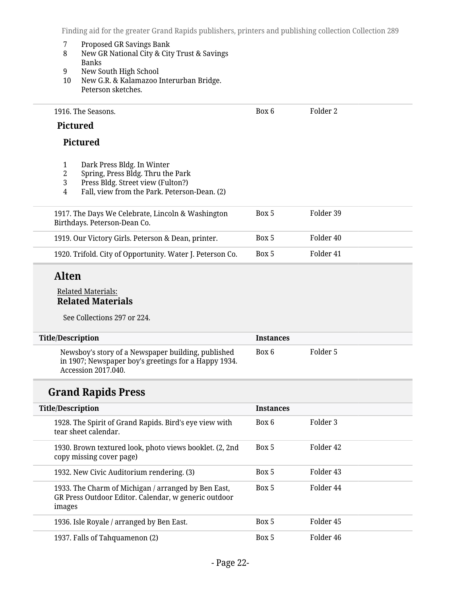Box 6 Folder 2

- 7 Proposed GR Savings Bank<br>8 New GR National City & City
- 8 New GR National City & City Trust & Savings Banks
- 9 New South High School<br>10 New G.R. & Kalamazoo I
- New G.R. & Kalamazoo Interurban Bridge. Peterson sketches.

1916. The Seasons.

#### **Pictured**

#### **Pictured**

- 
- 1 Dark Press Bldg. In Winter 2 Spring, Press Bldg. Thru the Park<br>3 Press Bldg. Street view (Fulton?)
- 3 Press Bldg. Street view (Fulton?)<br>4 Fall, view from the Park. Petersol
- 4 Fall, view from the Park. Peterson-Dean. (2)

| 1917. The Days We Celebrate, Lincoln & Washington<br>Birthdays. Peterson-Dean Co. | Box 5 | Folder 39 |  |
|-----------------------------------------------------------------------------------|-------|-----------|--|
| 1919. Our Victory Girls. Peterson & Dean, printer.                                | Box 5 | Folder 40 |  |
| 1920. Trifold. City of Opportunity. Water J. Peterson Co.                         | Box 5 | Folder 41 |  |

### **Alten**

#### Related Materials: **Related Materials**

See Collections 297 or 224.

| <b>Title/Description</b>                                                                                                          | <b>Instances</b> |          |
|-----------------------------------------------------------------------------------------------------------------------------------|------------------|----------|
| Newsboy's story of a Newspaper building, published<br>in 1907; Newspaper boy's greetings for a Happy 1934.<br>Accession 2017.040. | Box 6            | Folder 5 |

### **Grand Rapids Press**

| <b>Title/Description</b>                                                                                              | <b>Instances</b> |           |
|-----------------------------------------------------------------------------------------------------------------------|------------------|-----------|
| 1928. The Spirit of Grand Rapids. Bird's eye view with<br>tear sheet calendar.                                        | Box 6            | Folder 3  |
| 1930. Brown textured look, photo views booklet. (2, 2nd<br>copy missing cover page)                                   | Box 5            | Folder 42 |
| 1932. New Civic Auditorium rendering. (3)                                                                             | Box 5            | Folder 43 |
| 1933. The Charm of Michigan / arranged by Ben East,<br>GR Press Outdoor Editor. Calendar, w generic outdoor<br>images | Box 5            | Folder 44 |
| 1936. Isle Royale / arranged by Ben East.                                                                             | Box 5            | Folder 45 |
| 1937. Falls of Tahquamenon (2)                                                                                        | Box 5            | Folder 46 |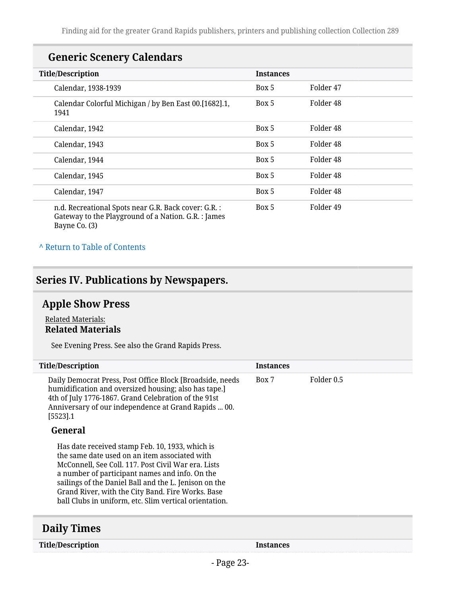## **Generic Scenery Calendars**

| <b>Title/Description</b>                                                                                                     | <b>Instances</b> |                      |
|------------------------------------------------------------------------------------------------------------------------------|------------------|----------------------|
| Calendar, 1938-1939                                                                                                          | Box 5            | Folder 47            |
| Calendar Colorful Michigan / by Ben East 00.[1682].1,<br>1941                                                                | Box 5            | Folder 48            |
| Calendar, 1942                                                                                                               | Box 5            | Folder 48            |
| Calendar, 1943                                                                                                               | Box 5            | Folder 48            |
| Calendar, 1944                                                                                                               | Box 5            | Folder <sub>48</sub> |
| Calendar, 1945                                                                                                               | Box 5            | Folder 48            |
| Calendar, 1947                                                                                                               | Box 5            | Folder <sub>48</sub> |
| n.d. Recreational Spots near G.R. Back cover: G.R. :<br>Gateway to the Playground of a Nation. G.R. : James<br>Bayne Co. (3) | Box 5            | Folder 49            |

#### **^** [Return to Table of Contents](#page-1-0)

## <span id="page-22-0"></span>**Series IV. Publications by Newspapers.**

## <span id="page-22-1"></span>**Apple Show Press**

#### Related Materials: **Related Materials**

See Evening Press. See also the Grand Rapids Press.

| <b>Title/Description</b>                                                                                                                                                                                                                                                                                                                                                          | <b>Instances</b> |            |
|-----------------------------------------------------------------------------------------------------------------------------------------------------------------------------------------------------------------------------------------------------------------------------------------------------------------------------------------------------------------------------------|------------------|------------|
| Daily Democrat Press, Post Office Block [Broadside, needs<br>humidification and oversized housing; also has tape.]<br>4th of July 1776-1867. Grand Celebration of the 91st<br>Anniversary of our independence at Grand Rapids  00.<br>[5523] .1                                                                                                                                   | Box 7            | Folder 0.5 |
| General                                                                                                                                                                                                                                                                                                                                                                           |                  |            |
| Has date received stamp Feb. 10, 1933, which is<br>the same date used on an item associated with<br>McConnell, See Coll. 117. Post Civil War era. Lists<br>a number of participant names and info. On the<br>sailings of the Daniel Ball and the L. Jenison on the<br>Grand River, with the City Band. Fire Works. Base<br>ball Clubs in uniform, etc. Slim vertical orientation. |                  |            |
|                                                                                                                                                                                                                                                                                                                                                                                   |                  |            |

### <span id="page-22-2"></span>**Daily Times**

**Title/Description Instances**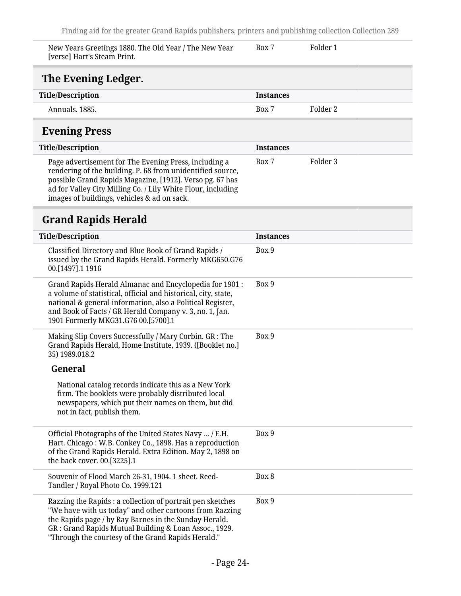<span id="page-23-0"></span>

| New Years Greetings 1880. The Old Year / The New Year<br>[verse] Hart's Steam Print.                                | Box 7            | Folder 1 |
|---------------------------------------------------------------------------------------------------------------------|------------------|----------|
| The Evening Ledger.                                                                                                 |                  |          |
| <b>Title/Description</b>                                                                                            | <b>Instances</b> |          |
| Annuals, 1885.                                                                                                      | Box 7            | Folder 2 |
| <b>Evening Press</b>                                                                                                |                  |          |
| <b>Title/Description</b>                                                                                            | <b>Instances</b> |          |
| Page advertisement for The Evening Press, including a<br>rendering of the building. P. 68 from unidentified source, | Box 7            | Folder 3 |

<span id="page-23-1"></span>possible Grand Rapids Magazine, [1912]. Verso pg. 67 has ad for Valley City Milling Co. / Lily White Flour, including images of buildings, vehicles & ad on sack.

## <span id="page-23-2"></span>**Grand Rapids Herald**

| <b>Title/Description</b>                                                                                                                                                                                                                                                                      | <b>Instances</b> |
|-----------------------------------------------------------------------------------------------------------------------------------------------------------------------------------------------------------------------------------------------------------------------------------------------|------------------|
| Classified Directory and Blue Book of Grand Rapids /<br>issued by the Grand Rapids Herald. Formerly MKG650.G76<br>00.[1497].1 1916                                                                                                                                                            | Box 9            |
| Grand Rapids Herald Almanac and Encyclopedia for 1901:<br>a volume of statistical, official and historical, city, state,<br>national & general information, also a Political Register,<br>and Book of Facts / GR Herald Company v. 3, no. 1, Jan.<br>1901 Formerly MKG31.G76 00.[5700].1      | Box 9            |
| Making Slip Covers Successfully / Mary Corbin. GR : The<br>Grand Rapids Herald, Home Institute, 1939. ([Booklet no.]<br>35) 1989.018.2                                                                                                                                                        | Box 9            |
| General                                                                                                                                                                                                                                                                                       |                  |
| National catalog records indicate this as a New York<br>firm. The booklets were probably distributed local<br>newspapers, which put their names on them, but did<br>not in fact, publish them.                                                                                                |                  |
| Official Photographs of the United States Navy  / E.H.<br>Hart. Chicago: W.B. Conkey Co., 1898. Has a reproduction<br>of the Grand Rapids Herald. Extra Edition. May 2, 1898 on<br>the back cover. 00.[3225].1                                                                                | Box 9            |
| Souvenir of Flood March 26-31, 1904. 1 sheet. Reed-<br>Tandler / Royal Photo Co. 1999.121                                                                                                                                                                                                     | Box 8            |
| Razzing the Rapids : a collection of portrait pen sketches<br>"We have with us today" and other cartoons from Razzing<br>the Rapids page / by Ray Barnes in the Sunday Herald.<br>GR: Grand Rapids Mutual Building & Loan Assoc., 1929.<br>"Through the courtesy of the Grand Rapids Herald." | Box 9            |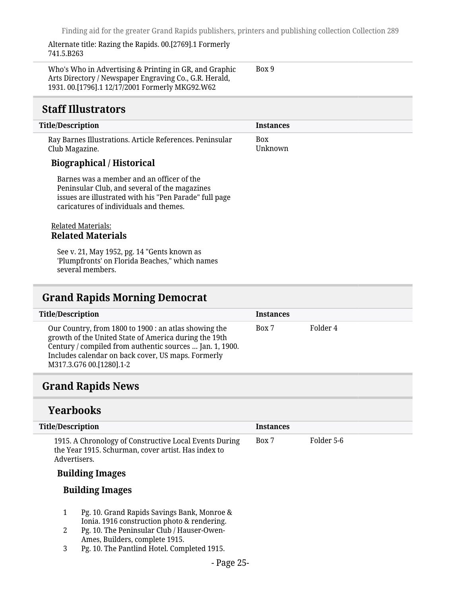Box 9

Alternate title: Razing the Rapids. 00.[2769].1 Formerly 741.5.B263

Who's Who in Advertising & Printing in GR, and Graphic Arts Directory / Newspaper Engraving Co., G.R. Herald, 1931. 00.[1796].1 12/17/2001 Formerly MKG92.W62

### <span id="page-24-0"></span>**Staff Illustrators**

#### **Title/Description Instances** Ray Barnes Illustrations. Article References. Peninsular Club Magazine. **Biographical / Historical** Barnes was a member and an officer of the Peninsular Club, and several of the magazines issues are illustrated with his "Pen Parade" full page caricatures of individuals and themes. Related Materials: Box Unknown

### **Related Materials**

See v. 21, May 1952, pg. 14 "Gents known as 'Plumpfronts' on Florida Beaches," which names several members.

### <span id="page-24-1"></span>**Grand Rapids Morning Democrat**

| <b>Title/Description</b>                                                                                                                                                                                                                                     | <b>Instances</b> |          |  |
|--------------------------------------------------------------------------------------------------------------------------------------------------------------------------------------------------------------------------------------------------------------|------------------|----------|--|
| Our Country, from 1800 to 1900 : an atlas showing the<br>growth of the United State of America during the 19th<br>Century / compiled from authentic sources  Jan. 1, 1900.<br>Includes calendar on back cover, US maps. Formerly<br>M317.3.G76 00.[1280].1-2 | Box 7            | Folder 4 |  |
|                                                                                                                                                                                                                                                              |                  |          |  |

### <span id="page-24-2"></span>**Grand Rapids News**

#### **Yearbooks**

| <b>Title/Description</b>                                                                                                      | <b>Instances</b> |            |
|-------------------------------------------------------------------------------------------------------------------------------|------------------|------------|
| 1915. A Chronology of Constructive Local Events During<br>the Year 1915. Schurman, cover artist. Has index to<br>Advertisers. | Box 7            | Folder 5-6 |
| <b>Building Images</b>                                                                                                        |                  |            |
| <b>Building Images</b>                                                                                                        |                  |            |

- 1 Pg. 10. Grand Rapids Savings Bank, Monroe & Ionia. 1916 construction photo & rendering.
- 2 Pg. 10. The Peninsular Club / Hauser-Owen-Ames, Builders, complete 1915.
- 3 Pg. 10. The Pantlind Hotel. Completed 1915.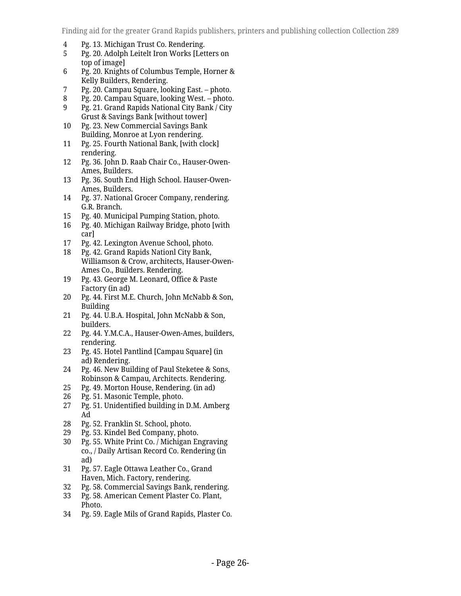- 4 Pg. 13. Michigan Trust Co. Rendering.<br>5 Pg. 20. Adolph Leitelt Iron Works [Let
- 5 Pg. 20. Adolph Leitelt Iron Works [Letters on top of image]
- 6 Pg. 20. Knights of Columbus Temple, Horner & Kelly Builders, Rendering.
- 
- 7 Pg. 20. Campau Square, looking East. photo. 8 Pg. 20. Campau Square, looking West. – photo.
- 9 Pg. 21. Grand Rapids National City Bank / City Grust & Savings Bank [without tower]
- 10 Pg. 23. New Commercial Savings Bank Building, Monroe at Lyon rendering.
- 11 Pg. 25. Fourth National Bank, [with clock] rendering.
- 12 Pg. 36. John D. Raab Chair Co., Hauser-Owen-Ames, Builders.
- 13 Pg. 36. South End High School. Hauser-Owen-Ames, Builders.
- 14 Pg. 37. National Grocer Company, rendering. G.R. Branch.
- 15 Pg. 40. Municipal Pumping Station, photo.
- 16 Pg. 40. Michigan Railway Bridge, photo [with car]
- 17 Pg. 42. Lexington Avenue School, photo.<br>18 Pg. 42. Grand Rapids Nationl City Bank,
- 18 Pg. 42. Grand Rapids Nationl City Bank, Williamson & Crow, architects, Hauser-Owen-Ames Co., Builders. Rendering.
- 19 Pg. 43. George M. Leonard, Office & Paste Factory (in ad)
- 20 Pg. 44. First M.E. Church, John McNabb & Son, Building
- 21 Pg. 44. U.B.A. Hospital, John McNabb & Son, builders.
- 22 Pg. 44. Y.M.C.A., Hauser-Owen-Ames, builders, rendering.
- 23 Pg. 45. Hotel Pantlind [Campau Square] (in ad) Rendering.
- 24 Pg. 46. New Building of Paul Steketee & Sons, Robinson & Campau, Architects. Rendering.
- 25 Pg. 49. Morton House, Rendering. (in ad)<br>26 Pg. 51. Masonic Temple, photo.
- 
- 26 Pg. 51. Masonic Temple, photo.<br>27 Pg. 51. Unidentified building in Pg. 51. Unidentified building in D.M. Amberg Ad
- 28 Pg. 52. Franklin St. School, photo.
- 29 Pg. 53. Kindel Bed Company, photo.
- 30 Pg. 55. White Print Co. / Michigan Engraving co., / Daily Artisan Record Co. Rendering (in ad)
- 31 Pg. 57. Eagle Ottawa Leather Co., Grand Haven, Mich. Factory, rendering.
- 32 Pg. 58. Commercial Savings Bank, rendering.
- 33 Pg. 58. American Cement Plaster Co. Plant, Photo.
- 34 Pg. 59. Eagle Mils of Grand Rapids, Plaster Co.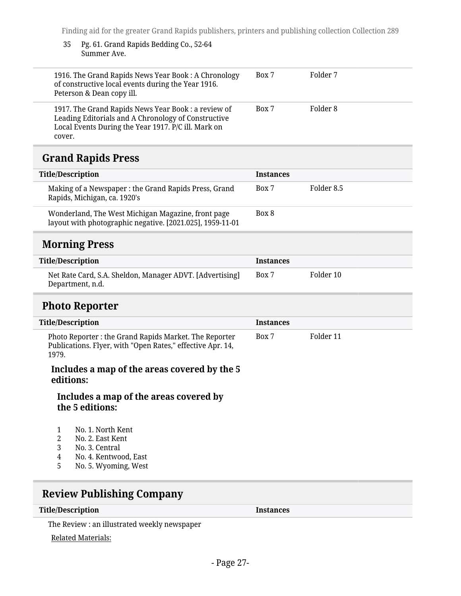#### 35 Pg. 61. Grand Rapids Bedding Co., 52-64 Summer Ave.

| 1916. The Grand Rapids News Year Book: A Chronology<br>of constructive local events during the Year 1916.<br>Peterson & Dean copy ill.                                     | Box 7 | Folder 7 |
|----------------------------------------------------------------------------------------------------------------------------------------------------------------------------|-------|----------|
| 1917. The Grand Rapids News Year Book: a review of<br>Leading Editorials and A Chronology of Constructive<br>Local Events During the Year 1917. P/C ill. Mark on<br>cover. | Box 7 | Folder 8 |

### <span id="page-26-0"></span>**Grand Rapids Press**

| <b>Title/Description</b>                                                                                        | <b>Instances</b> |            |
|-----------------------------------------------------------------------------------------------------------------|------------------|------------|
| Making of a Newspaper: the Grand Rapids Press, Grand<br>Rapids, Michigan, ca. 1920's                            | Box 7            | Folder 8.5 |
| Wonderland, The West Michigan Magazine, front page<br>layout with photographic negative. [2021.025], 1959-11-01 | Box 8            |            |
|                                                                                                                 |                  |            |

## <span id="page-26-1"></span>**Morning Press**

| Title/Description                                                            | <b>Instances</b> |           |
|------------------------------------------------------------------------------|------------------|-----------|
| Net Rate Card, S.A. Sheldon, Manager ADVT. [Advertising]<br>Department, n.d. | Box 7            | Folder 10 |

#### <span id="page-26-2"></span>**Photo Reporter**

| <b>Title/Description</b>                                                                                                      | <b>Instances</b> |           |
|-------------------------------------------------------------------------------------------------------------------------------|------------------|-----------|
| Photo Reporter : the Grand Rapids Market. The Reporter<br>Publications. Flyer, with "Open Rates," effective Apr. 14,<br>1979. | Box 7            | Folder 11 |
| Includes a map of the areas covered by the 5<br>editions:<br><u>Le de das a marco afabro amazo anerono d'her</u>              |                  |           |

#### **Includes a map of the areas covered by the 5 editions:**

- 1 No. 1. North Kent<br>2 No. 2. East Kent
- 2 No. 2. East Kent<br>3 No. 3. Central
- 3 No. 3. Central<br>4 No. 4. Kentwo
- 4 No. 4. Kentwood, East<br>5 No. 5. Wyoming, West
- 5 No. 5. Wyoming, West

## <span id="page-26-3"></span>**Review Publishing Company**

#### **Title/Description Instances**

The Review : an illustrated weekly newspaper

#### Related Materials: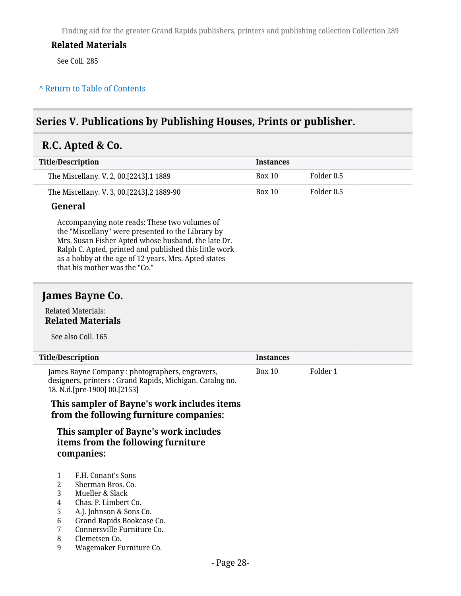#### **Related Materials**

See Coll. 285

#### **^** [Return to Table of Contents](#page-1-0)

### <span id="page-27-0"></span>**Series V. Publications by Publishing Houses, Prints or publisher.**

## <span id="page-27-1"></span>**R.C. Apted & Co.**

| Title/Description                         | <b>Instances</b> |            |
|-------------------------------------------|------------------|------------|
| The Miscellany. V. 2, 00.[2243].1 1889    | Box 10           | Folder 0.5 |
| The Miscellany. V. 3, 00.[2243].2 1889-90 | <b>Box 10</b>    | Folder 0.5 |

#### **General**

Accompanying note reads: These two volumes of the "Miscellany" were presented to the Library by Mrs. Susan Fisher Apted whose husband, the late Dr. Ralph C. Apted, printed and published this little work as a hobby at the age of 12 years. Mrs. Apted states that his mother was the "Co."

#### <span id="page-27-2"></span>**James Bayne Co.**

#### Related Materials: **Related Materials**

See also Coll. 165

| <b>Title/Description</b>                                                                                                                      | <b>Instances</b> |          |
|-----------------------------------------------------------------------------------------------------------------------------------------------|------------------|----------|
| James Bayne Company: photographers, engravers,<br>designers, printers : Grand Rapids, Michigan. Catalog no.<br>18. N.d. [pre-1900] 00. [2153] | Box 10           | Folder 1 |
| This sampler of Bayne's work includes items                                                                                                   |                  |          |

**from the following furniture companies:**

**This sampler of Bayne's work includes items from the following furniture companies:**

- 1 F.H. Conant's Sons
- 2 Sherman Bros. Co.
- 3 Mueller & Slack
- 4 Chas. P. Limbert Co.
- 5 A.J. Johnson & Sons Co.
- 
- 6 Grand Rapids Bookcase Co. 7 Connersville Furniture Co.
- 8 Clemetsen Co.
- 9 Wagemaker Furniture Co.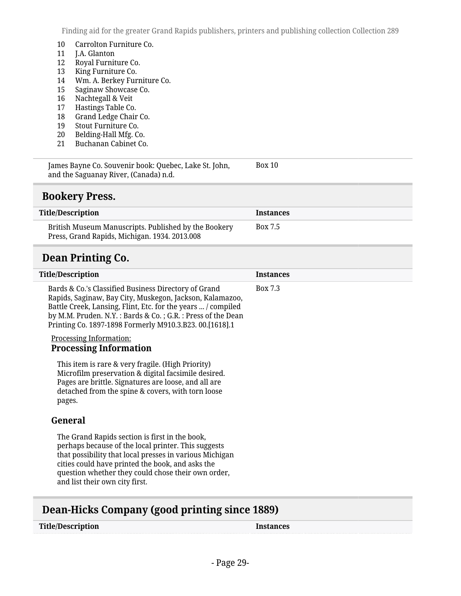- 10 Carrolton Furniture Co.<br>11 J.A. Glanton
- 11 J.A. Glanton
- 12 Royal Furniture Co.<br>13 King Furniture Co.
- 13 King Furniture Co.<br>14 Wm. A. Berkey Fur
- 14 Wm. A. Berkey Furniture Co.<br>15 Saginaw Showcase Co.
- 15 Saginaw Showcase Co.<br>16 Nachtegall & Veit
- 16 Nachtegall & Veit<br>17 Hastings Table Co.
- 17 Hastings Table Co.<br>18 Grand Ledge Chair
- 18 Grand Ledge Chair Co.<br>19 Stout Furniture Co.
- 19 Stout Furniture Co.<br>20 Belding-Hall Mfg. Co
- 20 Belding-Hall Mfg. Co.<br>21 Buchanan Cabinet Co.
- Buchanan Cabinet Co.

James Bayne Co. Souvenir book: Quebec, Lake St. John, and the Saguanay River, (Canada) n.d. Box 10

#### <span id="page-28-0"></span>**Bookery Press.**

| <b>Title/Description</b>                                                                              | <b>Instances</b> |
|-------------------------------------------------------------------------------------------------------|------------------|
| British Museum Manuscripts. Published by the Bookery<br>Press, Grand Rapids, Michigan. 1934. 2013.008 | Box 7.5          |

### <span id="page-28-1"></span>**Dean Printing Co.**

| <b>Title/Description</b>                                                                                                                                                                                                                                                                                     | <b>Instances</b> |
|--------------------------------------------------------------------------------------------------------------------------------------------------------------------------------------------------------------------------------------------------------------------------------------------------------------|------------------|
| Bards & Co.'s Classified Business Directory of Grand<br>Rapids, Saginaw, Bay City, Muskegon, Jackson, Kalamazoo,<br>Battle Creek, Lansing, Flint, Etc. for the years  / compiled<br>by M.M. Pruden. N.Y. : Bards & Co. ; G.R. : Press of the Dean<br>Printing Co. 1897-1898 Formerly M910.3.B23. 00.[1618].1 | Box 7.3          |
| <b>Processing Information:</b><br><b>Processing Information</b>                                                                                                                                                                                                                                              |                  |
| This item is rare & very fragile. (High Priority)<br>Microfilm preservation & digital facsimile desired.<br>Pages are brittle. Signatures are loose, and all are<br>detached from the spine & covers, with torn loose<br>pages.                                                                              |                  |
| General                                                                                                                                                                                                                                                                                                      |                  |
| The Grand Rapids section is first in the book,<br>perhaps because of the local printer. This suggests<br>that possibility that local presses in various Michigan<br>cities could have printed the book, and asks the<br>question whether they could chose their own order,<br>and list their own city first. |                  |

### <span id="page-28-2"></span>**Dean-Hicks Company (good printing since 1889)**

#### **Title/Description Instances**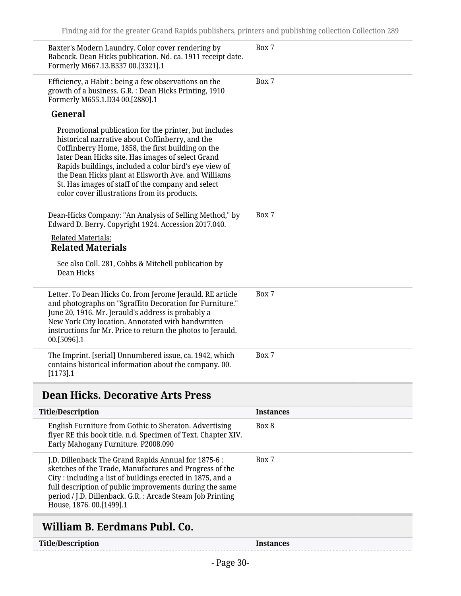| Baxter's Modern Laundry. Color cover rendering by<br>Babcock. Dean Hicks publication. Nd. ca. 1911 receipt date.<br>Formerly M667.13.B337 00.[3321].1                                                                                                                                                                                                                                                                                   | Box 7 |
|-----------------------------------------------------------------------------------------------------------------------------------------------------------------------------------------------------------------------------------------------------------------------------------------------------------------------------------------------------------------------------------------------------------------------------------------|-------|
| Efficiency, a Habit : being a few observations on the<br>growth of a business. G.R. : Dean Hicks Printing, 1910<br>Formerly M655.1.D34 00.[2880].1                                                                                                                                                                                                                                                                                      | Box 7 |
| General                                                                                                                                                                                                                                                                                                                                                                                                                                 |       |
| Promotional publication for the printer, but includes<br>historical narrative about Coffinberry, and the<br>Coffinberry Home, 1858, the first building on the<br>later Dean Hicks site. Has images of select Grand<br>Rapids buildings, included a color bird's eye view of<br>the Dean Hicks plant at Ellsworth Ave. and Williams<br>St. Has images of staff of the company and select<br>color cover illustrations from its products. |       |
| Dean-Hicks Company: "An Analysis of Selling Method," by<br>Edward D. Berry. Copyright 1924. Accession 2017.040.                                                                                                                                                                                                                                                                                                                         | Box 7 |
| <b>Related Materials:</b><br><b>Related Materials</b>                                                                                                                                                                                                                                                                                                                                                                                   |       |
| See also Coll. 281, Cobbs & Mitchell publication by<br>Dean Hicks                                                                                                                                                                                                                                                                                                                                                                       |       |
| Letter. To Dean Hicks Co. from Jerome Jerauld. RE article<br>and photographs on "Sgraffito Decoration for Furniture."<br>June 20, 1916. Mr. Jerauld's address is probably a<br>New York City location. Annotated with handwritten<br>instructions for Mr. Price to return the photos to Jerauld.<br>00.[5096].1                                                                                                                         | Box 7 |
| The Imprint. [serial] Unnumbered issue, ca. 1942, which<br>contains historical information about the company. 00.<br>$[1173]$ .1                                                                                                                                                                                                                                                                                                        | Box 7 |

## <span id="page-29-0"></span>**Dean Hicks. Decorative Arts Press**

| <b>Title/Description</b>                                                                                                                                                                                                                                                                                                           | <b>Instances</b> |
|------------------------------------------------------------------------------------------------------------------------------------------------------------------------------------------------------------------------------------------------------------------------------------------------------------------------------------|------------------|
| English Furniture from Gothic to Sheraton. Advertising<br>flyer RE this book title. n.d. Specimen of Text. Chapter XIV.<br>Early Mahogany Furniture. P2008.090                                                                                                                                                                     | Box 8            |
| J.D. Dillenback The Grand Rapids Annual for 1875-6 :<br>sketches of the Trade, Manufactures and Progress of the<br>City: including a list of buildings erected in 1875, and a<br>full description of public improvements during the same<br>period / J.D. Dillenback. G.R. : Arcade Steam Job Printing<br>House, 1876. 00.[1499].1 | Box 7            |
|                                                                                                                                                                                                                                                                                                                                    |                  |

## <span id="page-29-1"></span>**William B. Eerdmans Publ. Co.**

| <b>Title/Description</b> |
|--------------------------|
|--------------------------|

**Title/Instances**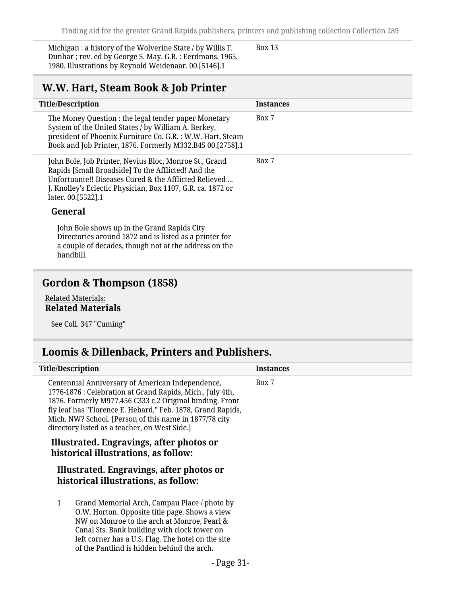Michigan : a history of the Wolverine State / by Willis F. Dunbar ; rev. ed by George S. May. G.R. : Eerdmans, 1965, 1980. Illustrations by Reynold Weidenaar. 00.[5146].1

Box 13

### <span id="page-30-0"></span>**W.W. Hart, Steam Book & Job Printer**

| <b>Title/Description</b>                                                                                                                                                                                                                                     | <b>Instances</b> |
|--------------------------------------------------------------------------------------------------------------------------------------------------------------------------------------------------------------------------------------------------------------|------------------|
| The Money Question : the legal tender paper Monetary<br>System of the United States / by William A. Berkey,<br>president of Phoenix Furniture Co. G.R. : W.W. Hart, Steam<br>Book and Job Printer, 1876. Formerly M332.B45 00.[2758].1                       | Box 7            |
| John Bole, Job Printer, Nevius Bloc, Monroe St., Grand<br>Rapids [Small Broadside] To the Afflicted! And the<br>Unfortuante!! Diseases Cured & the Afflicted Relieved<br>J. Knolley's Eclectic Physician, Box 1107, G.R. ca. 1872 or<br>later. 00. [5522]. 1 | Box 7            |
| General                                                                                                                                                                                                                                                      |                  |
| John Bole shows up in the Grand Rapids City<br>Directories around 1872 and is listed as a printer for<br>a couple of decades, though not at the address on the                                                                                               |                  |

handbill.

## <span id="page-30-1"></span>**Gordon & Thompson (1858)**

#### Related Materials: **Related Materials**

See Coll. 347 "Cuming"

### <span id="page-30-2"></span>**Loomis & Dillenback, Printers and Publishers.**

| <b>Title/Description</b>                                                                                                                                                                                                                                                                                                                            | Instances |
|-----------------------------------------------------------------------------------------------------------------------------------------------------------------------------------------------------------------------------------------------------------------------------------------------------------------------------------------------------|-----------|
| Centennial Anniversary of American Independence,<br>1776-1876 : Celebration at Grand Rapids, Mich., July 4th,<br>1876. Formerly M977.456 C333 c.2 Original binding. Front<br>fly leaf has "Florence E. Hebard," Feb. 1878, Grand Rapids,<br>Mich. NW? School. [Person of this name in 1877/78 city<br>directory listed as a teacher, on West Side.] | Box 7     |
| Illustrated. Engravings, after photos or<br>historical illustrations, as follow:                                                                                                                                                                                                                                                                    |           |
| Illustrated. Engravings, after photos or<br>historical illustrations, as follow:                                                                                                                                                                                                                                                                    |           |
| Grand Memorial Arch, Campau Place / photo by<br>1<br>O.W. Horton. Opposite title page. Shows a view<br>NW on Monroe to the arch at Monroe, Pearl &<br>Canal Sts. Bank building with clock tower on<br>left corner has a U.S. Flag. The hotel on the site<br>of the Pantlind is hidden behind the arch.                                              |           |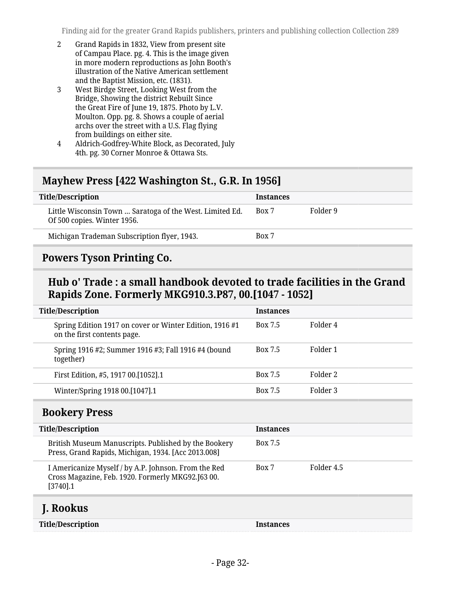- 2 Grand Rapids in 1832, View from present site of Campau Place. pg. 4. This is the image given in more modern reproductions as John Booth's illustration of the Native American settlement and the Baptist Mission, etc. (1831).
- 3 West Birdge Street, Looking West from the Bridge, Showing the district Rebuilt Since the Great Fire of June 19, 1875. Photo by L.V. Moulton. Opp. pg. 8. Shows a couple of aerial archs over the street with a U.S. Flag flying from buildings on either site.
- 4 Aldrich-Godfrey-White Block, as Decorated, July 4th. pg. 30 Corner Monroe & Ottawa Sts.

### <span id="page-31-0"></span>**Mayhew Press [422 Washington St., G.R. In 1956]**

| <b>Title/Description</b>                                                                | <b>Instances</b> |          |
|-----------------------------------------------------------------------------------------|------------------|----------|
| Little Wisconsin Town  Saratoga of the West. Limited Ed.<br>Of 500 copies. Winter 1956. | Box 7            | Folder 9 |
| Michigan Trademan Subscription flyer, 1943.                                             | Box 7            |          |
|                                                                                         |                  |          |

### <span id="page-31-1"></span>**Powers Tyson Printing Co.**

### **Hub o' Trade : a small handbook devoted to trade facilities in the Grand Rapids Zone. Formerly MKG910.3.P87, 00.[1047 - 1052]**

| <b>Title/Description</b>                                                              | <b>Instances</b> |          |
|---------------------------------------------------------------------------------------|------------------|----------|
| Spring Edition 1917 on cover or Winter Edition, 1916#1<br>on the first contents page. | Box 7.5          | Folder 4 |
| Spring 1916 #2; Summer 1916 #3; Fall 1916 #4 (bound<br>together)                      | <b>Box 7.5</b>   | Folder 1 |
| First Edition, #5, 1917 00.[1052].1                                                   | <b>Box 7.5</b>   | Folder 2 |
| Winter/Spring 1918 00.[1047].1                                                        | <b>Box 7.5</b>   | Folder 3 |

### <span id="page-31-2"></span>**Bookery Press**

| <b>Title/Description</b>                                                                                                 | <b>Instances</b> |            |
|--------------------------------------------------------------------------------------------------------------------------|------------------|------------|
| British Museum Manuscripts. Published by the Bookery<br>Press, Grand Rapids, Michigan, 1934. [Acc 2013.008]              | <b>Box 7.5</b>   |            |
| I Americanize Myself / by A.P. Johnson. From the Red<br>Cross Magazine, Feb. 1920. Formerly MKG92.J63 00.<br>$[3740]$ .1 | Box 7            | Folder 4.5 |
|                                                                                                                          |                  |            |

### <span id="page-31-3"></span>**J. Rookus**

| <b>Title/Description</b> |  |
|--------------------------|--|
|--------------------------|--|

**Instances**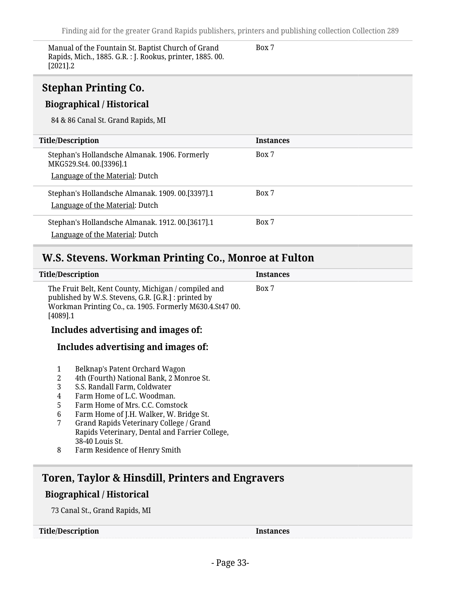Manual of the Fountain St. Baptist Church of Grand Rapids, Mich., 1885. G.R. : J. Rookus, printer, 1885. 00.  $[2021]$ .2

Box 7

<span id="page-32-0"></span>

| <b>Stephan Printing Co.</b><br><b>Biographical / Historical</b><br>84 & 86 Canal St. Grand Rapids, MI      |                  |
|------------------------------------------------------------------------------------------------------------|------------------|
| <b>Title/Description</b>                                                                                   | <b>Instances</b> |
| Stephan's Hollandsche Almanak. 1906. Formerly<br>MKG529.St4.00.[3396].1<br>Language of the Material: Dutch | Box 7            |
| Stephan's Hollandsche Almanak. 1909. 00.[3397].1<br>Language of the Material: Dutch                        | Box 7            |
| Stephan's Hollandsche Almanak. 1912. 00.[3617].1<br>Language of the Material: Dutch                        | Box 7            |

## <span id="page-32-1"></span>**W.S. Stevens. Workman Printing Co., Monroe at Fulton**

|                                      | <b>Title/Description</b>                                                                                                                                                                                                                                                                                                                                                | <b>Instances</b> |  |
|--------------------------------------|-------------------------------------------------------------------------------------------------------------------------------------------------------------------------------------------------------------------------------------------------------------------------------------------------------------------------------------------------------------------------|------------------|--|
| $[4089]$ .1                          | The Fruit Belt, Kent County, Michigan / compiled and<br>published by W.S. Stevens, G.R. [G.R.] : printed by<br>Workman Printing Co., ca. 1905. Formerly M630.4.St47 00.                                                                                                                                                                                                 | Box 7            |  |
| Includes advertising and images of:  |                                                                                                                                                                                                                                                                                                                                                                         |                  |  |
|                                      | Includes advertising and images of:                                                                                                                                                                                                                                                                                                                                     |                  |  |
| 1<br>2<br>3<br>4<br>5<br>6<br>7<br>8 | Belknap's Patent Orchard Wagon<br>4th (Fourth) National Bank, 2 Monroe St.<br>S.S. Randall Farm, Coldwater<br>Farm Home of L.C. Woodman.<br>Farm Home of Mrs. C.C. Comstock<br>Farm Home of J.H. Walker, W. Bridge St.<br>Grand Rapids Veterinary College / Grand<br>Rapids Veterinary, Dental and Farrier College,<br>38-40 Louis St.<br>Farm Residence of Henry Smith |                  |  |
|                                      | Toren, Taylor & Hinsdill, Printers and Engravers                                                                                                                                                                                                                                                                                                                        |                  |  |
|                                      | <b>Biographical / Historical</b>                                                                                                                                                                                                                                                                                                                                        |                  |  |

<span id="page-32-2"></span>73 Canal St., Grand Rapids, MI

**Title/Description Instances**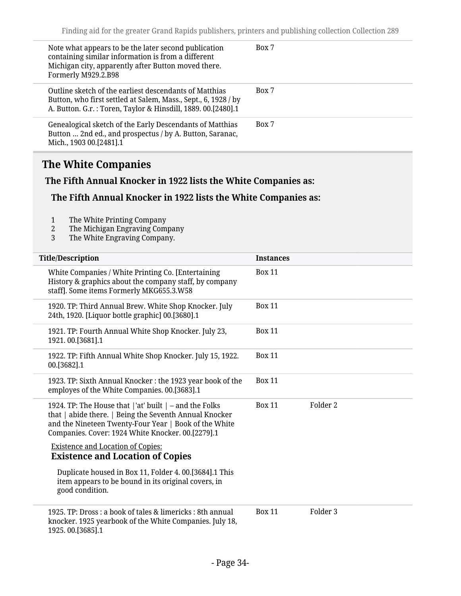| Note what appears to be the later second publication<br>containing similar information is from a different<br>Michigan city, apparently after Button moved there.<br>Formerly M929.2.B98 | Box 7 |
|------------------------------------------------------------------------------------------------------------------------------------------------------------------------------------------|-------|
| Outline sketch of the earliest descendants of Matthias<br>Button, who first settled at Salem, Mass., Sept., 6, 1928 / by<br>A. Button. G.r.: Toren, Taylor & Hinsdill, 1889. 00.[2480].1 | Box 7 |
| Genealogical sketch of the Early Descendants of Matthias<br>Button  2nd ed., and prospectus / by A. Button, Saranac,<br>Mich., 1903 00.[2481].1                                          | Box 7 |

## <span id="page-33-0"></span>**The White Companies**

#### **The Fifth Annual Knocker in 1922 lists the White Companies as:**

#### **The Fifth Annual Knocker in 1922 lists the White Companies as:**

- 1 The White Printing Company<br>2 The Michigan Engraving Comp
- 2 The Michigan Engraving Company<br>3 The White Engraving Company.
- The White Engraving Company.

| <b>Title/Description</b>                                                                                                                                                                                                            | <b>Instances</b> |                     |
|-------------------------------------------------------------------------------------------------------------------------------------------------------------------------------------------------------------------------------------|------------------|---------------------|
| White Companies / White Printing Co. [Entertaining]<br>History & graphics about the company staff, by company<br>staff]. Some items Formerly MKG655.3.W58                                                                           | <b>Box 11</b>    |                     |
| 1920. TP: Third Annual Brew. White Shop Knocker. July<br>24th, 1920. [Liquor bottle graphic] 00.[3680].1                                                                                                                            | <b>Box 11</b>    |                     |
| 1921. TP: Fourth Annual White Shop Knocker. July 23,<br>1921.00.[3681].1                                                                                                                                                            | <b>Box 11</b>    |                     |
| 1922. TP: Fifth Annual White Shop Knocker. July 15, 1922.<br>00.[3682].1                                                                                                                                                            | <b>Box 11</b>    |                     |
| 1923. TP: Sixth Annual Knocker: the 1923 year book of the<br>employes of the White Companies. 00.[3683].1                                                                                                                           | <b>Box 11</b>    |                     |
| 1924. TP: The House that $ $ 'at' built $ $ – and the Folks<br>that   abide there.   Being the Seventh Annual Knocker<br>and the Nineteen Twenty-Four Year   Book of the White<br>Companies. Cover: 1924 White Knocker. 00.[2279].1 | <b>Box 11</b>    | Folder 2            |
| <b>Existence and Location of Copies:</b><br><b>Existence and Location of Copies</b>                                                                                                                                                 |                  |                     |
| Duplicate housed in Box 11, Folder 4. 00.[3684].1 This<br>item appears to be bound in its original covers, in<br>good condition.                                                                                                    |                  |                     |
| 1925. TP: Dross : a book of tales & limericks : 8th annual<br>knocker. 1925 yearbook of the White Companies. July 18,<br>1925.00.[3685].1                                                                                           | <b>Box 11</b>    | Folder <sub>3</sub> |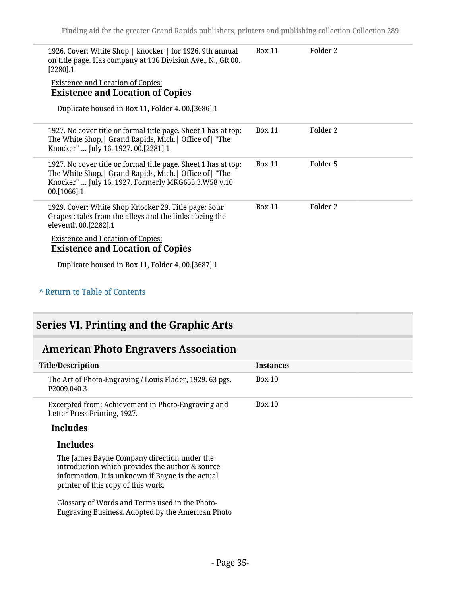| 1926. Cover: White Shop   knocker   for 1926. 9th annual<br>on title page. Has company at 136 Division Ave., N., GR 00.<br>$[2280]$ .1                                                           | <b>Box 11</b> | Folder 2 |
|--------------------------------------------------------------------------------------------------------------------------------------------------------------------------------------------------|---------------|----------|
| <b>Existence and Location of Copies:</b><br><b>Existence and Location of Copies</b>                                                                                                              |               |          |
| Duplicate housed in Box 11, Folder 4. 00.[3686].1                                                                                                                                                |               |          |
| 1927. No cover title or formal title page. Sheet 1 has at top:<br>The White Shop, Grand Rapids, Mich.   Office of   "The<br>Knocker"  July 16, 1927. 00.[2281].1                                 | <b>Box 11</b> | Folder 2 |
| 1927. No cover title or formal title page. Sheet 1 has at top:<br>The White Shop,   Grand Rapids, Mich.   Office of   "The<br>Knocker"  July 16, 1927. Formerly MKG655.3.W58 v.10<br>00.[1066].1 | <b>Box 11</b> | Folder 5 |
| 1929. Cover: White Shop Knocker 29. Title page: Sour<br>Grapes : tales from the alleys and the links : being the<br>eleventh 00.[2282].1                                                         | <b>Box 11</b> | Folder 2 |
| <b>Existence and Location of Copies:</b><br><b>Existence and Location of Copies</b>                                                                                                              |               |          |
| Duplicate housed in Box 11, Folder 4. 00.[3687].1                                                                                                                                                |               |          |
|                                                                                                                                                                                                  |               |          |

#### **^** [Return to Table of Contents](#page-1-0)

## <span id="page-34-0"></span>**Series VI. Printing and the Graphic Arts**

## <span id="page-34-1"></span>**American Photo Engravers Association**

| <b>Title/Description</b>                                                                                                                                                                  | <b>Instances</b> |
|-------------------------------------------------------------------------------------------------------------------------------------------------------------------------------------------|------------------|
| The Art of Photo-Engraving / Louis Flader, 1929. 63 pgs.<br>P <sub>2009.040.3</sub>                                                                                                       | Box 10           |
| Excerpted from: Achievement in Photo-Engraving and<br>Letter Press Printing, 1927.                                                                                                        | Box 10           |
| <b>Includes</b>                                                                                                                                                                           |                  |
| <b>Includes</b>                                                                                                                                                                           |                  |
| The James Bayne Company direction under the<br>introduction which provides the author & source<br>information. It is unknown if Bayne is the actual<br>printer of this copy of this work. |                  |
| Glossary of Words and Terms used in the Photo-                                                                                                                                            |                  |

Engraving Business. Adopted by the American Photo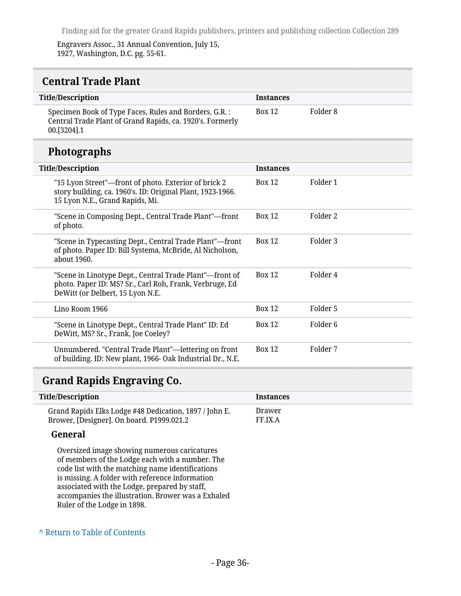Engravers Assoc., 31 Annual Convention, July 15, 1927, Washington, D.C. pg. 55-61.

<span id="page-35-0"></span>

| <b>Title/Description</b>                                                                                                           | <b>Instances</b> |          |
|------------------------------------------------------------------------------------------------------------------------------------|------------------|----------|
| Specimen Book of Type Faces, Rules and Borders. G.R. :<br>Central Trade Plant of Grand Rapids, ca. 1920's. Formerly<br>00.[3204].1 | <b>Box 12</b>    | Folder 8 |

## **Photographs**

| <b>Title/Description</b>                                                                                                                               | <b>Instances</b> |                     |
|--------------------------------------------------------------------------------------------------------------------------------------------------------|------------------|---------------------|
| "15 Lyon Street"—front of photo. Exterior of brick 2<br>story building, ca. 1960's. ID: Original Plant, 1923-1966.<br>15 Lyon N.E., Grand Rapids, Mi.  | Box 12           | Folder 1            |
| "Scene in Composing Dept., Central Trade Plant"—front<br>of photo.                                                                                     | Box 12           | Folder 2            |
| "Scene in Typecasting Dept., Central Trade Plant"—front<br>of photo. Paper ID: Bill Systema, McBride, Al Nicholson,<br>about 1960.                     | <b>Box 12</b>    | Folder 3            |
| "Scene in Linotype Dept., Central Trade Plant"—front of<br>photo. Paper ID: MS? Sr., Carl Roh, Frank, Verbruge, Ed<br>DeWitt (or Delbert, 15 Lyon N.E. | <b>Box 12</b>    | Folder 4            |
| Lino Room 1966                                                                                                                                         | <b>Box 12</b>    | Folder 5            |
| "Scene in Linotype Dept., Central Trade Plant" ID: Ed<br>DeWitt, MS? Sr., Frank, Joe Coeley?                                                           | <b>Box 12</b>    | Folder <sub>6</sub> |
| Unnumbered. "Central Trade Plant"-lettering on front<br>of building. ID: New plant, 1966- Oak Industrial Dr., N.E.                                     | <b>Box 12</b>    | Folder 7            |

### <span id="page-35-1"></span>**Grand Rapids Engraving Co.**

| <b>Title/Description</b>                                                                            | <b>Instances</b>  |
|-----------------------------------------------------------------------------------------------------|-------------------|
| Grand Rapids Elks Lodge #48 Dedication, 1897 / John E.<br>Brower, [Designer]. On board. P1999.021.2 | Drawer<br>FF.IX.A |
| General                                                                                             |                   |
| Orienciaed image cheming numerous conjectures                                                       |                   |

Oversized image showing numerous caricatures of members of the Lodge each with a number. The code list with the matching name identifications is missing. A folder with reference information associated with the Lodge, prepared by staff, accompanies the illustration. Brower was a Exhaled Ruler of the Lodge in 1898.

#### **^** [Return to Table of Contents](#page-1-0)